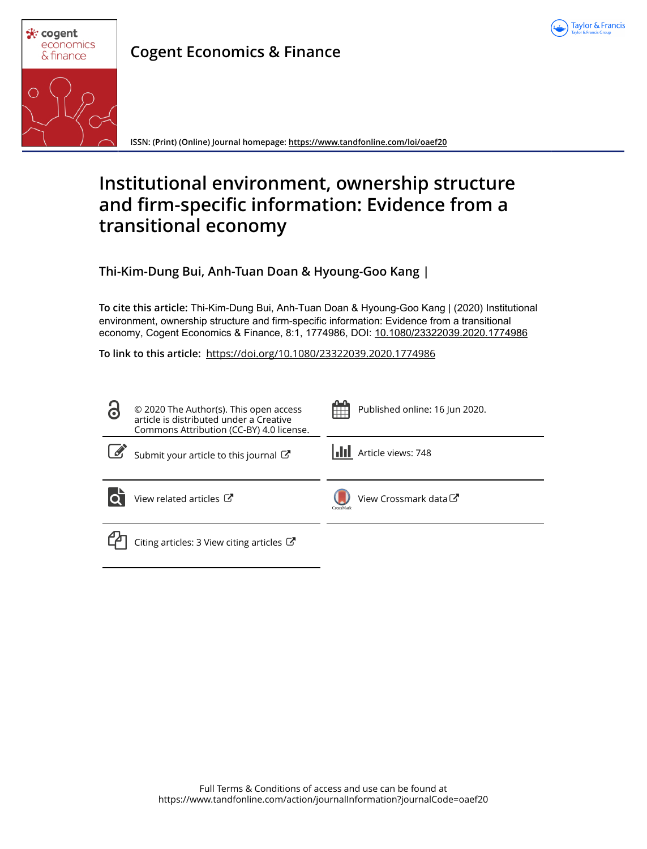



**Cogent Economics & Finance**

**ISSN: (Print) (Online) Journal homepage:<https://www.tandfonline.com/loi/oaef20>**

# **Institutional environment, ownership structure and firm-specific information: Evidence from a transitional economy**

**Thi-Kim-Dung Bui, Anh-Tuan Doan & Hyoung-Goo Kang |**

**To cite this article:** Thi-Kim-Dung Bui, Anh-Tuan Doan & Hyoung-Goo Kang | (2020) Institutional environment, ownership structure and firm-specific information: Evidence from a transitional economy, Cogent Economics & Finance, 8:1, 1774986, DOI: [10.1080/23322039.2020.1774986](https://www.tandfonline.com/action/showCitFormats?doi=10.1080/23322039.2020.1774986)

**To link to this article:** <https://doi.org/10.1080/23322039.2020.1774986>

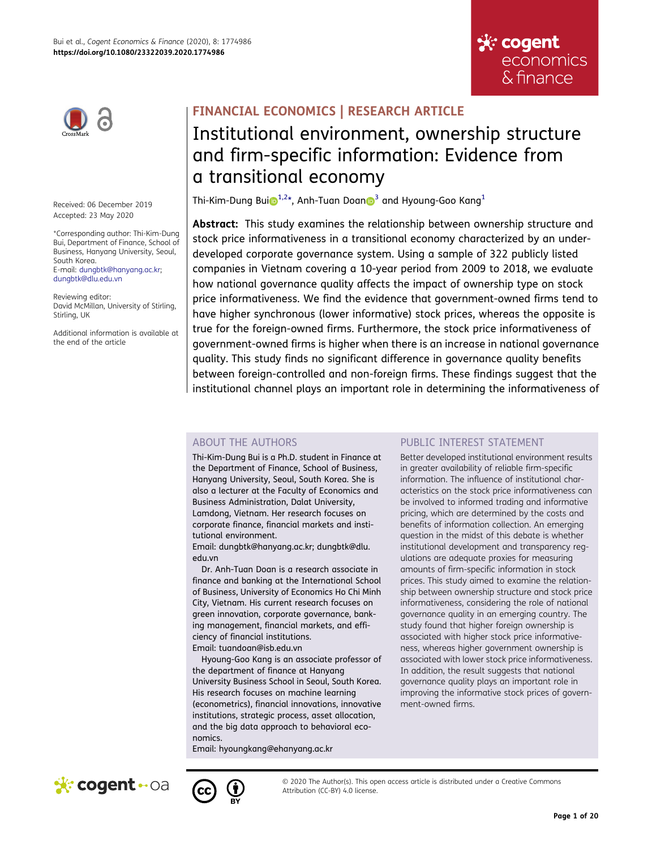



Received: 06 December 2019 Accepted: 23 May 2020

\*Corresponding author: Thi-Kim-Dung Bui, Department of Finance, School of Business, Hanyang University, Seoul, South Korea.

E-mail: dungbtk@hanyang.ac.kr; dungbtk@dlu.edu.vn

Reviewing editor: David McMillan, University of Stirling, Stirling, UK

Additional information is available at the end of the article

## **FINANCIAL ECONOMICS | RESEARCH ARTICLE**

## Institutional environment, ownership structure and firm-specific information: Evidence from a transitional economy

<span id="page-1-0"></span>Thi-Kim-Du[n](http://orcid.org/0000-0003-2580-3507)g Bui $\mathbb{D}^{1,2*}$  $\mathbb{D}^{1,2*}$  $\mathbb{D}^{1,2*}$  $\mathbb{D}^{1,2*}$ , Anh-Tuan Doan $\mathbb{D}^3$  $\mathbb{D}^3$  and Hyoung-Goo Kang<sup>1</sup>

**Abstract:** This study examines the relationship between ownership structure and stock price informativeness in a transitional economy characterized by an underdeveloped corporate governance system. Using a sample of 322 publicly listed companies in Vietnam covering a 10-year period from 2009 to 2018, we evaluate how national governance quality affects the impact of ownership type on stock price informativeness. We find the evidence that government-owned firms tend to have higher synchronous (lower informative) stock prices, whereas the opposite is true for the foreign-owned firms. Furthermore, the stock price informativeness of government-owned firms is higher when there is an increase in national governance quality. This study finds no significant difference in governance quality benefits between foreign-controlled and non-foreign firms. These findings suggest that the institutional channel plays an important role in determining the informativeness of

## ABOUT THE AUTHORS

Thi-Kim-Dung Bui is a Ph.D. student in Finance at the Department of Finance, School of Business, Hanyang University, Seoul, South Korea. She is also a lecturer at the Faculty of Economics and Business Administration, Dalat University, Lamdong, Vietnam. Her research focuses on corporate finance, financial markets and institutional environment.

Email: dungbtk@hanyang.ac.kr; dungbtk@dlu. edu.vn

Dr. Anh-Tuan Doan is a research associate in finance and banking at the International School of Business, University of Economics Ho Chi Minh City, Vietnam. His current research focuses on green innovation, corporate governance, banking management, financial markets, and efficiency of financial institutions. Email: tuandoan@isb.edu.vn

Hyoung-Goo Kang is an associate professor of the department of finance at Hanyang University Business School in Seoul, South Korea. His research focuses on machine learning (econometrics), financial innovations, innovative institutions, strategic process, asset allocation, and the big data approach to behavioral economics.

Email: hyoungkang@ehanyang.ac.kr

## PUBLIC INTEREST STATEMENT

Better developed institutional environment results in greater availability of reliable firm-specific information. The influence of institutional characteristics on the stock price informativeness can be involved to informed trading and informative pricing, which are determined by the costs and benefits of information collection. An emerging question in the midst of this debate is whether institutional development and transparency regulations are adequate proxies for measuring amounts of firm-specific information in stock prices. This study aimed to examine the relationship between ownership structure and stock price informativeness, considering the role of national governance quality in an emerging country. The study found that higher foreign ownership is associated with higher stock price informativeness, whereas higher government ownership is associated with lower stock price informativeness. In addition, the result suggests that national governance quality plays an important role in improving the informative stock prices of government-owned firms.





© 2020 The Author(s). This open access article is distributed under a Creative Commons Attribution (CC-BY) 4.0 license.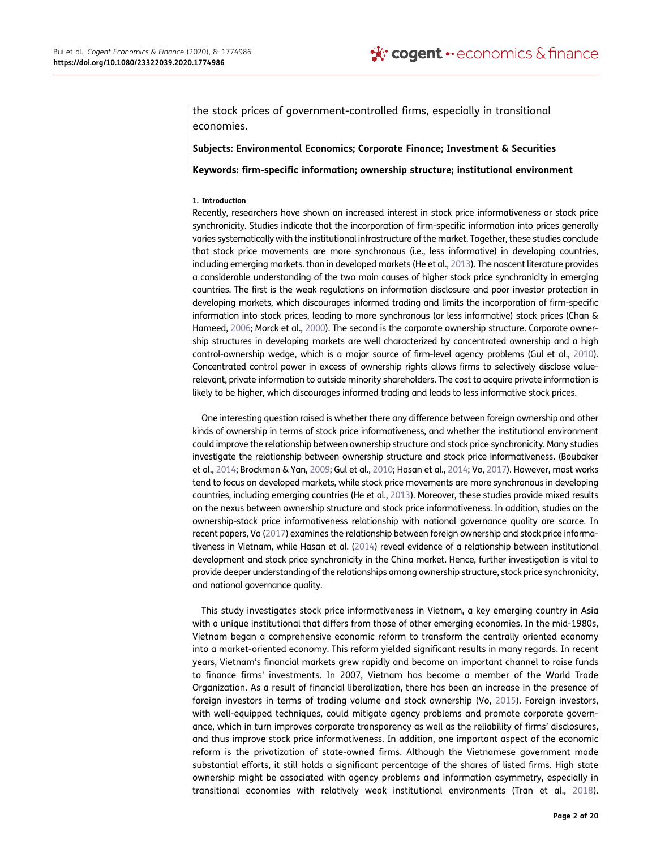the stock prices of government-controlled firms, especially in transitional economies.

## **Subjects: Environmental Economics; Corporate Finance; Investment & Securities**

**Keywords: firm-specific information; ownership structure; institutional environment**

#### **1. Introduction**

Recently, researchers have shown an increased interest in stock price informativeness or stock price synchronicity. Studies indicate that the incorporation of firm-specific information into prices generally varies systematically with the institutional infrastructure of the market. Together, these studies conclude that stock price movements are more synchronous (i.e., less informative) in developing countries, including emerging markets. than in developed markets (He et al., [2013](#page-19-0)). The nascent literature provides a considerable understanding of the two main causes of higher stock price synchronicity in emerging countries. The first is the weak regulations on information disclosure and poor investor protection in developing markets, which discourages informed trading and limits the incorporation of firm-specific information into stock prices, leading to more synchronous (or less informative) stock prices (Chan & Hameed, [2006](#page-19-1); Morck et al., [2000](#page-19-2)). The second is the corporate ownership structure. Corporate ownership structures in developing markets are well characterized by concentrated ownership and a high control-ownership wedge, which is a major source of firm-level agency problems (Gul et al., [2010\)](#page-19-3). Concentrated control power in excess of ownership rights allows firms to selectively disclose valuerelevant, private information to outside minority shareholders. The cost to acquire private information is likely to be higher, which discourages informed trading and leads to less informative stock prices.

<span id="page-2-3"></span><span id="page-2-1"></span><span id="page-2-0"></span>One interesting question raised is whether there any difference between foreign ownership and other kinds of ownership in terms of stock price informativeness, and whether the institutional environment could improve the relationship between ownership structure and stock price synchronicity. Many studies investigate the relationship between ownership structure and stock price informativeness. (Boubaker et al., [2014;](#page-19-4) Brockman & Yan, [2009](#page-19-5); Gul et al., [2010](#page-19-3); Hasan et al., [2014](#page-19-6); Vo, [2017\)](#page-20-0). However, most works tend to focus on developed markets, while stock price movements are more synchronous in developing countries, including emerging countries (He et al., [2013\)](#page-19-0). Moreover, these studies provide mixed results on the nexus between ownership structure and stock price informativeness. In addition, studies on the ownership-stock price informativeness relationship with national governance quality are scarce. In recent papers, Vo [\(2017\)](#page-20-0) examines the relationship between foreign ownership and stock price informativeness in Vietnam, while Hasan et al. [\(2014](#page-19-6)) reveal evidence of a relationship between institutional development and stock price synchronicity in the China market. Hence, further investigation is vital to provide deeper understanding of the relationships among ownership structure, stock price synchronicity, and national governance quality.

<span id="page-2-6"></span><span id="page-2-5"></span><span id="page-2-4"></span><span id="page-2-2"></span>This study investigates stock price informativeness in Vietnam, a key emerging country in Asia with a unique institutional that differs from those of other emerging economies. In the mid-1980s, Vietnam began a comprehensive economic reform to transform the centrally oriented economy into a market-oriented economy. This reform yielded significant results in many regards. In recent years, Vietnam's financial markets grew rapidly and become an important channel to raise funds to finance firms' investments. In 2007, Vietnam has become a member of the World Trade Organization. As a result of financial liberalization, there has been an increase in the presence of foreign investors in terms of trading volume and stock ownership (Vo, [2015\)](#page-20-1). Foreign investors, with well-equipped techniques, could mitigate agency problems and promote corporate governance, which in turn improves corporate transparency as well as the reliability of firms' disclosures, and thus improve stock price informativeness. In addition, one important aspect of the economic reform is the privatization of state-owned firms. Although the Vietnamese government made substantial efforts, it still holds a significant percentage of the shares of listed firms. High state ownership might be associated with agency problems and information asymmetry, especially in transitional economies with relatively weak institutional environments (Tran et al., [2018\)](#page-19-7).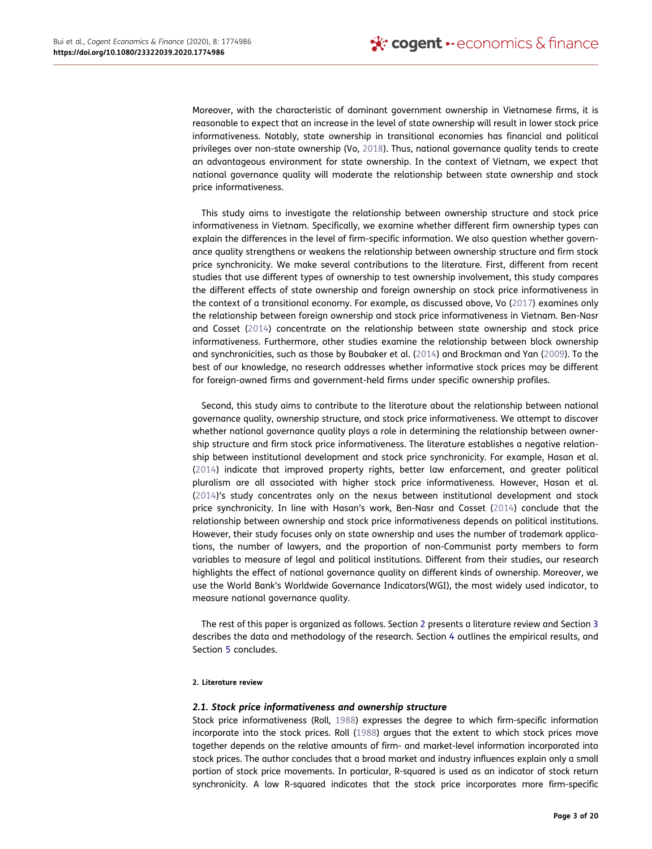<span id="page-3-3"></span>Moreover, with the characteristic of dominant government ownership in Vietnamese firms, it is reasonable to expect that an increase in the level of state ownership will result in lower stock price informativeness. Notably, state ownership in transitional economies has financial and political privileges over non-state ownership (Vo, [2018](#page-20-2)). Thus, national governance quality tends to create an advantageous environment for state ownership. In the context of Vietnam, we expect that national governance quality will moderate the relationship between state ownership and stock price informativeness.

This study aims to investigate the relationship between ownership structure and stock price informativeness in Vietnam. Specifically, we examine whether different firm ownership types can explain the differences in the level of firm-specific information. We also question whether governance quality strengthens or weakens the relationship between ownership structure and firm stock price synchronicity. We make several contributions to the literature. First, different from recent studies that use different types of ownership to test ownership involvement, this study compares the different effects of state ownership and foreign ownership on stock price informativeness in the context of a transitional economy. For example, as discussed above, Vo ([2017](#page-20-0)) examines only the relationship between foreign ownership and stock price informativeness in Vietnam. Ben-Nasr and Cosset ([2014](#page-19-8)) concentrate on the relationship between state ownership and stock price informativeness. Furthermore, other studies examine the relationship between block ownership and synchronicities, such as those by Boubaker et al. ([2014](#page-19-4)) and Brockman and Yan [\(2009\)](#page-19-5). To the best of our knowledge, no research addresses whether informative stock prices may be different for foreign-owned firms and government-held firms under specific ownership profiles.

<span id="page-3-1"></span>Second, this study aims to contribute to the literature about the relationship between national governance quality, ownership structure, and stock price informativeness. We attempt to discover whether national governance quality plays a role in determining the relationship between ownership structure and firm stock price informativeness. The literature establishes a negative relationship between institutional development and stock price synchronicity. For example, Hasan et al. ([2014](#page-19-6)) indicate that improved property rights, better law enforcement, and greater political pluralism are all associated with higher stock price informativeness. However, Hasan et al. ([2014](#page-19-6))'s study concentrates only on the nexus between institutional development and stock price synchronicity. In line with Hasan's work, Ben-Nasr and Cosset [\(2014\)](#page-19-8) conclude that the relationship between ownership and stock price informativeness depends on political institutions. However, their study focuses only on state ownership and uses the number of trademark applications, the number of lawyers, and the proportion of non-Communist party members to form variables to measure of legal and political institutions. Different from their studies, our research highlights the effect of national governance quality on different kinds of ownership. Moreover, we use the World Bank's Worldwide Governance Indicators(WGI), the most widely used indicator, to measure national governance quality.

The rest of this paper is organized as follows. Section [2](#page-3-0) presents a literature review and Section [3](#page-6-0)  describes the data and methodology of the research. Section [4](#page-8-0) outlines the empirical results, and Section [5](#page-18-3) concludes.

#### <span id="page-3-0"></span>**2. Literature review**

### *2.1. Stock price informativeness and ownership structure*

<span id="page-3-2"></span>Stock price informativeness (Roll, [1988](#page-19-9)) expresses the degree to which firm-specific information incorporate into the stock prices. Roll [\(1988](#page-19-9)) argues that the extent to which stock prices move together depends on the relative amounts of firm- and market-level information incorporated into stock prices. The author concludes that a broad market and industry influences explain only a small portion of stock price movements. In particular, R-squared is used as an indicator of stock return synchronicity. A low R-squared indicates that the stock price incorporates more firm-specific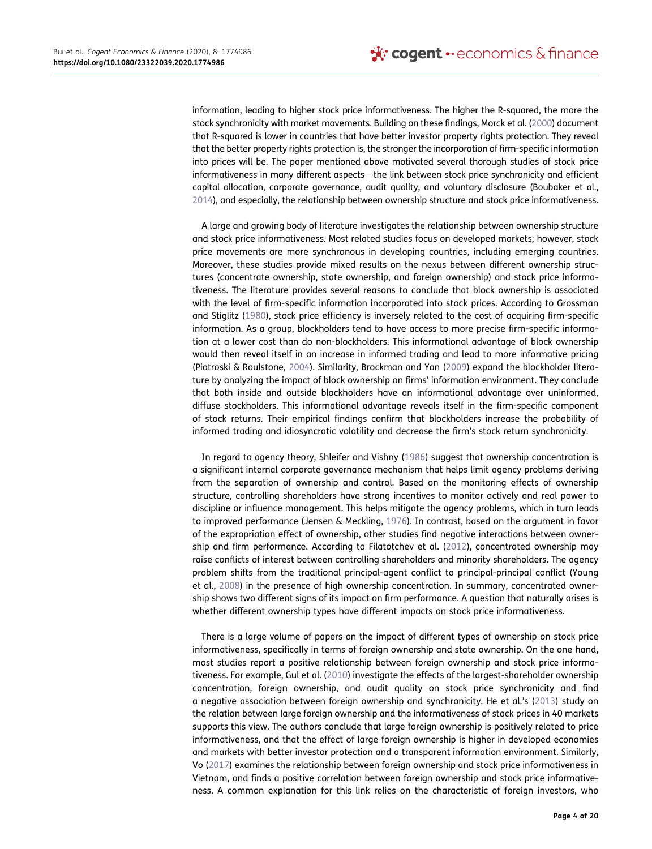information, leading to higher stock price informativeness. The higher the R-squared, the more the stock synchronicity with market movements. Building on these findings, Morck et al. [\(2000](#page-19-2)) document that R-squared is lower in countries that have better investor property rights protection. They reveal that the better property rights protection is, the stronger the incorporation of firm-specific information into prices will be. The paper mentioned above motivated several thorough studies of stock price informativeness in many different aspects—the link between stock price synchronicity and efficient capital allocation, corporate governance, audit quality, and voluntary disclosure (Boubaker et al., [2014](#page-19-4)), and especially, the relationship between ownership structure and stock price informativeness.

<span id="page-4-1"></span>A large and growing body of literature investigates the relationship between ownership structure and stock price informativeness. Most related studies focus on developed markets; however, stock price movements are more synchronous in developing countries, including emerging countries. Moreover, these studies provide mixed results on the nexus between different ownership structures (concentrate ownership, state ownership, and foreign ownership) and stock price informativeness. The literature provides several reasons to conclude that block ownership is associated with the level of firm-specific information incorporated into stock prices. According to Grossman and Stiglitz [\(1980\)](#page-19-10), stock price efficiency is inversely related to the cost of acquiring firm-specific information. As a group, blockholders tend to have access to more precise firm-specific information at a lower cost than do non-blockholders. This informational advantage of block ownership would then reveal itself in an increase in informed trading and lead to more informative pricing (Piotroski & Roulstone, [2004\)](#page-19-11). Similarity, Brockman and Yan ([2009](#page-19-5)) expand the blockholder literature by analyzing the impact of block ownership on firms' information environment. They conclude that both inside and outside blockholders have an informational advantage over uninformed, diffuse stockholders. This informational advantage reveals itself in the firm-specific component of stock returns. Their empirical findings confirm that blockholders increase the probability of informed trading and idiosyncratic volatility and decrease the firm's stock return synchronicity.

<span id="page-4-4"></span><span id="page-4-3"></span><span id="page-4-2"></span><span id="page-4-0"></span>In regard to agency theory, Shleifer and Vishny [\(1986\)](#page-19-12) suggest that ownership concentration is a significant internal corporate governance mechanism that helps limit agency problems deriving from the separation of ownership and control. Based on the monitoring effects of ownership structure, controlling shareholders have strong incentives to monitor actively and real power to discipline or influence management. This helps mitigate the agency problems, which in turn leads to improved performance (Jensen & Meckling, [1976](#page-19-13)). In contrast, based on the argument in favor of the expropriation effect of ownership, other studies find negative interactions between ownership and firm performance. According to Filatotchev et al. ([2012](#page-19-14)), concentrated ownership may raise conflicts of interest between controlling shareholders and minority shareholders. The agency problem shifts from the traditional principal-agent conflict to principal-principal conflict (Young et al., [2008](#page-20-3)) in the presence of high ownership concentration. In summary, concentrated ownership shows two different signs of its impact on firm performance. A question that naturally arises is whether different ownership types have different impacts on stock price informativeness.

<span id="page-4-5"></span>There is a large volume of papers on the impact of different types of ownership on stock price informativeness, specifically in terms of foreign ownership and state ownership. On the one hand, most studies report a positive relationship between foreign ownership and stock price informativeness. For example, Gul et al. ([2010\)](#page-19-3) investigate the effects of the largest-shareholder ownership concentration, foreign ownership, and audit quality on stock price synchronicity and find a negative association between foreign ownership and synchronicity. He et al.'s ([2013](#page-19-0)) study on the relation between large foreign ownership and the informativeness of stock prices in 40 markets supports this view. The authors conclude that large foreign ownership is positively related to price informativeness, and that the effect of large foreign ownership is higher in developed economies and markets with better investor protection and a transparent information environment. Similarly, Vo [\(2017](#page-20-0)) examines the relationship between foreign ownership and stock price informativeness in Vietnam, and finds a positive correlation between foreign ownership and stock price informativeness. A common explanation for this link relies on the characteristic of foreign investors, who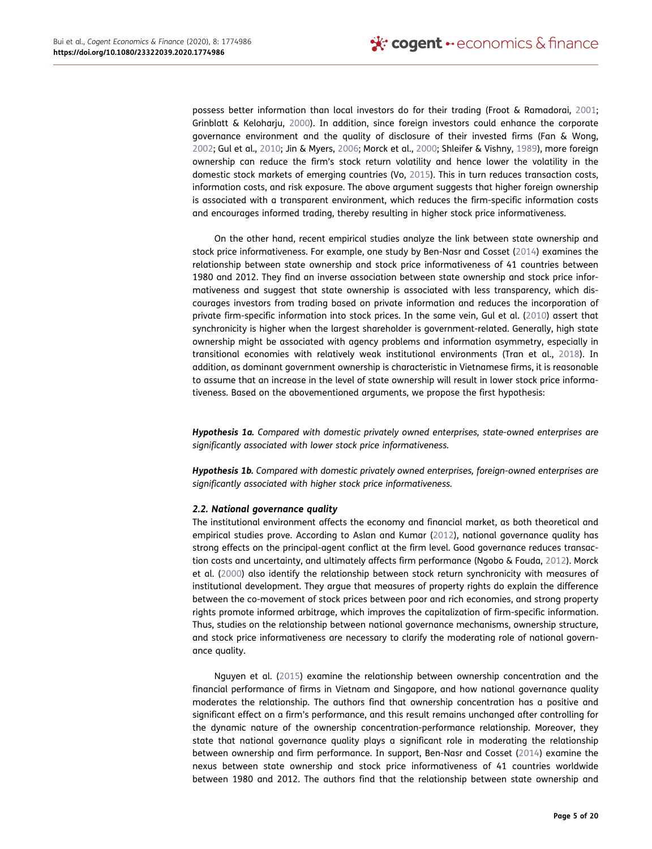<span id="page-5-4"></span><span id="page-5-3"></span><span id="page-5-2"></span><span id="page-5-1"></span>possess better information than local investors do for their trading (Froot & Ramadorai, [2001](#page-19-15); Grinblatt & Keloharju, [2000\)](#page-19-16). In addition, since foreign investors could enhance the corporate governance environment and the quality of disclosure of their invested firms (Fan & Wong, [2002](#page-19-17); Gul et al., [2010](#page-19-3); Jin & Myers, [2006](#page-19-18); Morck et al., [2000;](#page-19-2) Shleifer & Vishny, [1989](#page-19-19)), more foreign ownership can reduce the firm's stock return volatility and hence lower the volatility in the domestic stock markets of emerging countries (Vo, [2015](#page-20-1)). This in turn reduces transaction costs, information costs, and risk exposure. The above argument suggests that higher foreign ownership is associated with a transparent environment, which reduces the firm-specific information costs and encourages informed trading, thereby resulting in higher stock price informativeness.

On the other hand, recent empirical studies analyze the link between state ownership and stock price informativeness. For example, one study by Ben-Nasr and Cosset [\(2014\)](#page-19-8) examines the relationship between state ownership and stock price informativeness of 41 countries between 1980 and 2012. They find an inverse association between state ownership and stock price informativeness and suggest that state ownership is associated with less transparency, which discourages investors from trading based on private information and reduces the incorporation of private firm-specific information into stock prices. In the same vein, Gul et al. ([2010](#page-19-3)) assert that synchronicity is higher when the largest shareholder is government-related. Generally, high state ownership might be associated with agency problems and information asymmetry, especially in transitional economies with relatively weak institutional environments (Tran et al., [2018\)](#page-19-7). In addition, as dominant government ownership is characteristic in Vietnamese firms, it is reasonable to assume that an increase in the level of state ownership will result in lower stock price informativeness. Based on the abovementioned arguments, we propose the first hypothesis:

*Hypothesis 1a. Compared with domestic privately owned enterprises, state-owned enterprises are significantly associated with lower stock price informativeness.*

*Hypothesis 1b. Compared with domestic privately owned enterprises, foreign-owned enterprises are significantly associated with higher stock price informativeness.*

## *2.2. National governance quality*

<span id="page-5-5"></span><span id="page-5-0"></span>The institutional environment affects the economy and financial market, as both theoretical and empirical studies prove. According to Aslan and Kumar ([2012](#page-19-20)), national governance quality has strong effects on the principal-agent conflict at the firm level. Good governance reduces transaction costs and uncertainty, and ultimately affects firm performance (Ngobo & Fouda, [2012](#page-19-21)). Morck et al. ([2000\)](#page-19-2) also identify the relationship between stock return synchronicity with measures of institutional development. They argue that measures of property rights do explain the difference between the co-movement of stock prices between poor and rich economies, and strong property rights promote informed arbitrage, which improves the capitalization of firm-specific information. Thus, studies on the relationship between national governance mechanisms, ownership structure, and stock price informativeness are necessary to clarify the moderating role of national governance quality.

<span id="page-5-6"></span>Nguyen et al. [\(2015](#page-19-22)) examine the relationship between ownership concentration and the financial performance of firms in Vietnam and Singapore, and how national governance quality moderates the relationship. The authors find that ownership concentration has a positive and significant effect on a firm's performance, and this result remains unchanged after controlling for the dynamic nature of the ownership concentration-performance relationship. Moreover, they state that national governance quality plays a significant role in moderating the relationship between ownership and firm performance. In support, Ben-Nasr and Cosset ([2014](#page-19-8)) examine the nexus between state ownership and stock price informativeness of 41 countries worldwide between 1980 and 2012. The authors find that the relationship between state ownership and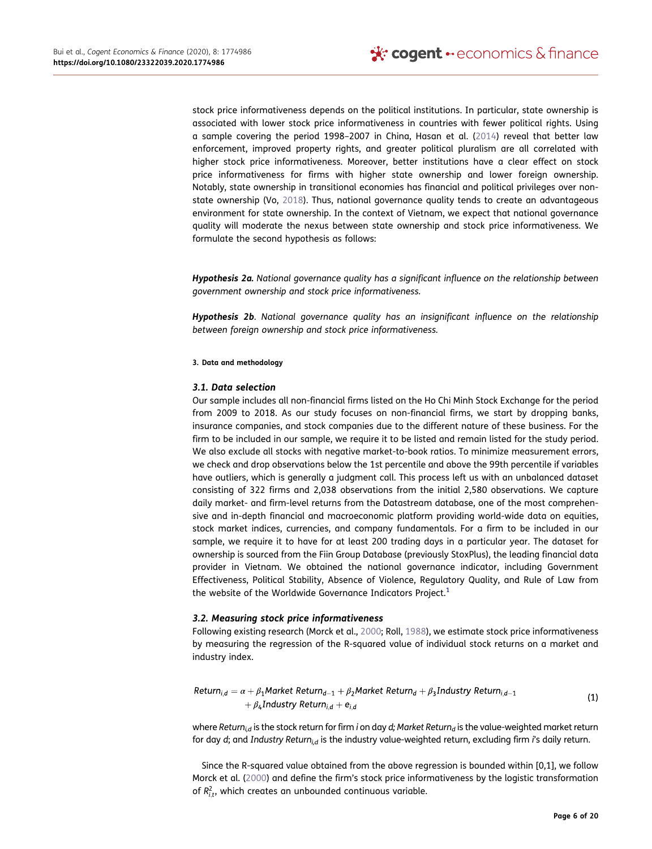stock price informativeness depends on the political institutions. In particular, state ownership is associated with lower stock price informativeness in countries with fewer political rights. Using a sample covering the period 1998–2007 in China, Hasan et al. ([2014](#page-19-6)) reveal that better law enforcement, improved property rights, and greater political pluralism are all correlated with higher stock price informativeness. Moreover, better institutions have a clear effect on stock price informativeness for firms with higher state ownership and lower foreign ownership. Notably, state ownership in transitional economies has financial and political privileges over nonstate ownership (Vo, [2018](#page-20-2)). Thus, national governance quality tends to create an advantageous environment for state ownership. In the context of Vietnam, we expect that national governance quality will moderate the nexus between state ownership and stock price informativeness. We formulate the second hypothesis as follows:

*Hypothesis 2a. National governance quality has a significant influence on the relationship between government ownership and stock price informativeness.*

*Hypothesis 2b*. *National governance quality has an insignificant influence on the relationship between foreign ownership and stock price informativeness.*

#### <span id="page-6-0"></span>**3. Data and methodology**

### *3.1. Data selection*

Our sample includes all non-financial firms listed on the Ho Chi Minh Stock Exchange for the period from 2009 to 2018. As our study focuses on non-financial firms, we start by dropping banks, insurance companies, and stock companies due to the different nature of these business. For the firm to be included in our sample, we require it to be listed and remain listed for the study period. We also exclude all stocks with negative market-to-book ratios. To minimize measurement errors, we check and drop observations below the 1st percentile and above the 99th percentile if variables have outliers, which is generally a judgment call. This process left us with an unbalanced dataset consisting of 322 firms and 2,038 observations from the initial 2,580 observations. We capture daily market- and firm-level returns from the Datastream database, one of the most comprehensive and in-depth financial and macroeconomic platform providing world-wide data on equities, stock market indices, currencies, and company fundamentals. For a firm to be included in our sample, we require it to have for at least 200 trading days in a particular year. The dataset for ownership is sourced from the Fiin Group Database (previously StoxPlus), the leading financial data provider in Vietnam. We obtained the national governance indicator, including Government Effectiveness, Political Stability, Absence of Violence, Regulatory Quality, and Rule of Law from the website of the Worldwide Governance Indicators Project.<sup>[1](#page-18-4)</sup>

## *3.2. Measuring stock price informativeness*

Following existing research (Morck et al., [2000](#page-19-2); Roll, [1988](#page-19-9)), we estimate stock price informativeness by measuring the regression of the R-squared value of individual stock returns on a market and industry index.

Return<sub>i,d</sub> = 
$$
\alpha + \beta_1
$$
Market Return<sub>d-1</sub> +  $\beta_2$ Market Return<sub>d</sub> +  $\beta_3$  Industry Return<sub>i,d-1</sub>  
+  $\beta_4$  Industry Return<sub>i,d</sub> +  $e_{i,d}$  (1)

where *Return<sub>i,d</sub>* is the stock return for firm *i* on day *d*; Market Return<sub>d</sub> is the value-weighted market return for day *d*; and *Industry Returni,d* is the industry value-weighted return, excluding firm *i*'s daily return.

Since the R-squared value obtained from the above regression is bounded within [0,1], we follow Morck et al. ([2000](#page-19-2)) and define the firm's stock price informativeness by the logistic transformation of  $R_{i,t}^2$ , which creates an unbounded continuous variable.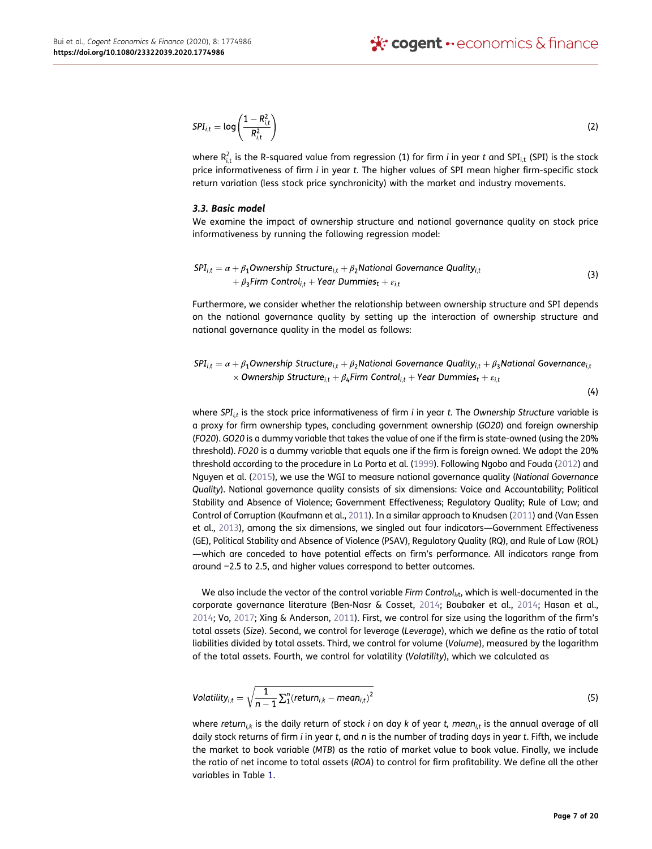$$
SPI_{i,t} = \log\left(\frac{1 - R_{i,t}^2}{R_{i,t}^2}\right) \tag{2}
$$

where  $R_{i,t}^2$  is the R-squared value from regression (1) for firm  $i$  in year  $t$  and SPI $_{i,t}$  (SPI) is the stock price informativeness of firm *i* in year *t*. The higher values of SPI mean higher firm-specific stock return variation (less stock price synchronicity) with the market and industry movements.

## *3.3. Basic model*

We examine the impact of ownership structure and national governance quality on stock price informativeness by running the following regression model:

$$
SPI_{i,t} = \alpha + \beta_1 \text{Ownership Structure}_{i,t} + \beta_2 \text{National Governance Quality}_{i,t} + \beta_3 \text{Firm Control}_{i,t} + \text{Year Dummies}_t + \varepsilon_{i,t}
$$
\n(3)

Furthermore, we consider whether the relationship between ownership structure and SPI depends on the national governance quality by setting up the interaction of ownership structure and national governance quality in the model as follows:

$$
SPI_{i,t} = \alpha + \beta_1 \text{Ownership Structure}_{i,t} + \beta_2 \text{National Governance Quality}_{i,t} + \beta_3 \text{National Governance}_{i,t}
$$
  
× Ownership Structure<sub>i,t</sub> +  $\beta_4$  Firm Control<sub>i,t</sub> + Year Dummies<sub>t</sub> +  $\varepsilon_{i,t}$ 

 $(4)$ 

<span id="page-7-1"></span>where *SPIi,t* is the stock price informativeness of firm *i* in year *t*. The *Ownership Structure* variable is a proxy for firm ownership types, concluding government ownership (*GO20*) and foreign ownership (*FO20*). *GO20* is a dummy variable that takes the value of one if the firm is state-owned (using the 20% threshold). *FO20* is a dummy variable that equals one if the firm is foreign owned. We adopt the 20% threshold according to the procedure in La Porta et al. ([1999\)](#page-19-23). Following Ngobo and Fouda [\(2012](#page-19-21)) and Nguyen et al. ([2015\)](#page-19-22), we use the WGI to measure national governance quality (*National Governance Quality*). National governance quality consists of six dimensions: Voice and Accountability; Political Stability and Absence of Violence; Government Effectiveness; Regulatory Quality; Rule of Law; and Control of Corruption (Kaufmann et al., [2011\)](#page-19-24). In a similar approach to Knudsen ([2011\)](#page-19-25) and (Van Essen et al., [2013](#page-19-26)), among the six dimensions, we singled out four indicators—Government Effectiveness (GE), Political Stability and Absence of Violence (PSAV), Regulatory Quality (RQ), and Rule of Law (ROL) —which are conceded to have potential effects on firm's performance. All indicators range from around −2.5 to 2.5, and higher values correspond to better outcomes.

<span id="page-7-3"></span><span id="page-7-2"></span><span id="page-7-0"></span>We also include the vector of the control variable *Firm Control* $_{i\text{t}}$ , which is well-documented in the corporate governance literature (Ben-Nasr & Cosset, [2014](#page-19-8); Boubaker et al., [2014;](#page-19-4) Hasan et al., [2014](#page-19-6); Vo, [2017](#page-20-0); Xing & Anderson, [2011](#page-20-4)). First, we control for size using the logarithm of the firm's total assets (*Size*). Second, we control for leverage (*Leverage*), which we define as the ratio of total liabilities divided by total assets. Third, we control for volume (*Volume*), measured by the logarithm of the total assets. Fourth, we control for volatility (*Volatility*), which we calculated as

$$
Volatility_{i,t} = \sqrt{\frac{1}{n-1} \sum_{i=1}^{n} (return_{i,k} - mean_{i,t})^2}
$$
 (5)

where *return<sub>ik</sub>* is the daily return of stock *i* on day *k* of year *t*, mean<sub>it</sub> is the annual average of all daily stock returns of firm *i* in year *t*, and *n* is the number of trading days in year *t*. Fifth, we include the market to book variable (*MTB*) as the ratio of market value to book value. Finally, we include the ratio of net income to total assets (*ROA*) to control for firm profitability. We define all the other variables in Table [1](#page-8-1).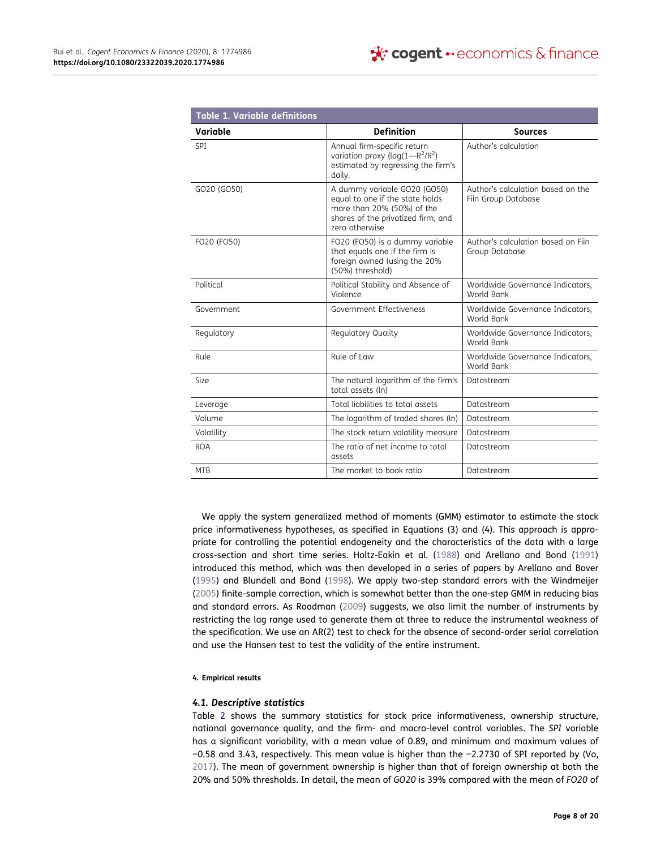<span id="page-8-1"></span>

| <b>Table 1. Variable definitions</b> |                                                                                                                                                       |                                                          |
|--------------------------------------|-------------------------------------------------------------------------------------------------------------------------------------------------------|----------------------------------------------------------|
| Variable                             | <b>Definition</b>                                                                                                                                     | <b>Sources</b>                                           |
| <b>SPI</b>                           | Annual firm-specific return<br>variation proxy ( $log(1 - R^2/R^2)$<br>estimated by regressing the firm's<br>daily.                                   | Author's calculation                                     |
| GO20 (GO50)                          | A dummy variable GO20 (GO50)<br>equal to one if the state holds<br>more than 20% (50%) of the<br>shares of the privatized firm, and<br>zero otherwise | Author's calculation based on the<br>Fiin Group Database |
| FO20 (FO50)                          | FO20 (FO50) is a dummy variable<br>that equals one if the firm is<br>foreign owned (using the 20%<br>(50%) threshold)                                 | Author's calculation based on Fiin<br>Group Database     |
| Political                            | Political Stability and Absence of<br>Violence                                                                                                        | Worldwide Governance Indicators,<br>World Bank           |
| Government                           | Government Effectiveness                                                                                                                              | Worldwide Governance Indicators,<br>World Bank           |
| Regulatory                           | Regulatory Quality                                                                                                                                    | Worldwide Governance Indicators,<br>World Bank           |
| Rule                                 | Rule of Law                                                                                                                                           | Worldwide Governance Indicators,<br>World Bank           |
| <b>Size</b>                          | The natural logarithm of the firm's<br>total assets (In)                                                                                              | Datastream                                               |
| Leverage                             | Total liabilities to total assets                                                                                                                     | Datastream                                               |
| Volume                               | The logarithm of traded shares (ln)                                                                                                                   | Datastream                                               |
| Volatility                           | The stock return volatility measure                                                                                                                   | Datastream                                               |
| <b>ROA</b>                           | The ratio of net income to total<br>assets                                                                                                            | Datastream                                               |
| <b>MTB</b>                           | The market to book ratio                                                                                                                              | Datastream                                               |

<span id="page-8-5"></span><span id="page-8-3"></span><span id="page-8-2"></span>We apply the system generalized method of moments (GMM) estimator to estimate the stock price informativeness hypotheses, as specified in Equations (3) and (4). This approach is appropriate for controlling the potential endogeneity and the characteristics of the data with a large cross-section and short time series. Holtz-Eakin et al. ([1988](#page-19-27)) and Arellano and Bond [\(1991\)](#page-18-5) introduced this method, which was then developed in a series of papers by Arellano and Bover ([1995](#page-18-6)) and Blundell and Bond [\(1998\)](#page-19-28). We apply two-step standard errors with the Windmeijer ([2005](#page-20-5)) finite-sample correction, which is somewhat better than the one-step GMM in reducing bias and standard errors. As Roodman [\(2009\)](#page-19-29) suggests, we also limit the number of instruments by restricting the lag range used to generate them at three to reduce the instrumental weakness of the specification. We use an AR(2) test to check for the absence of second-order serial correlation and use the Hansen test to test the validity of the entire instrument.

### <span id="page-8-4"></span><span id="page-8-0"></span>**4. Empirical results**

## *4.1. Descriptive statistics*

Table [2](#page-9-0) shows the summary statistics for stock price informativeness, ownership structure, national governance quality, and the firm- and macro-level control variables. The *SPI* variable has a significant variability, with a mean value of 0.89, and minimum and maximum values of −0.58 and 3.43, respectively. This mean value is higher than the −2.2730 of SPI reported by (Vo, [2017](#page-20-0)). The mean of government ownership is higher than that of foreign ownership at both the 20% and 50% thresholds. In detail, the mean of *GO20* is 39% compared with the mean of *FO20* of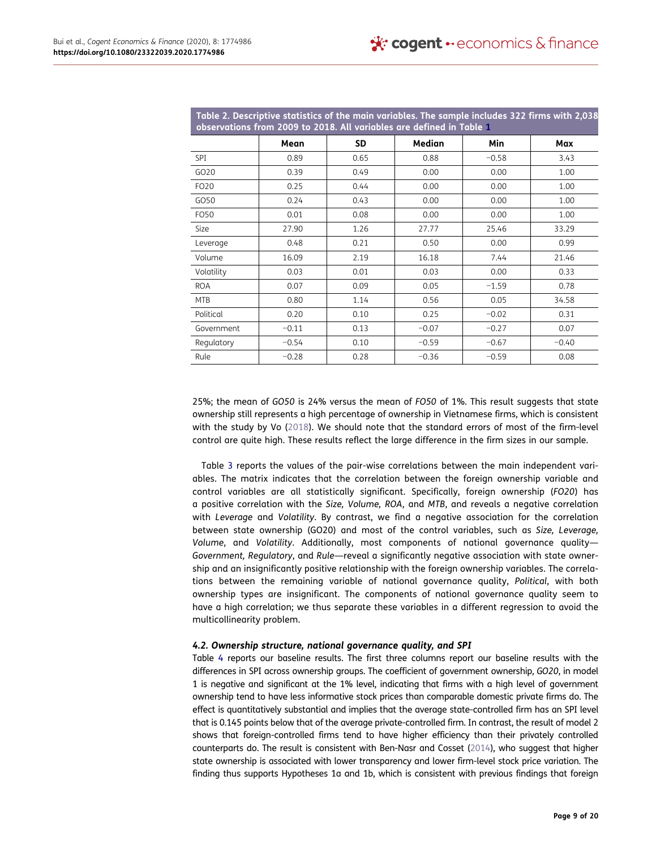<span id="page-9-0"></span>

|                  | observations from 2009 to 2018. All variables are defined in Table 1 |      |         |            | Table 2. Descriptive statistics of the main variables. The sample includes 322 firms with 2,038 |
|------------------|----------------------------------------------------------------------|------|---------|------------|-------------------------------------------------------------------------------------------------|
|                  | Mean                                                                 | SD   | Median  | <b>Min</b> | Max                                                                                             |
| SPI              | 0.89                                                                 | 0.65 | 0.88    | $-0.58$    | 3.43                                                                                            |
| GO <sub>20</sub> | 0.39                                                                 | 0.49 | 0.00    | 0.00       | 1.00                                                                                            |
| FO <sub>20</sub> | 0.25                                                                 | 0.44 | 0.00    | 0.00       | 1.00                                                                                            |
| GO50             | 0.24                                                                 | 0.43 | 0.00    | 0.00       | 1.00                                                                                            |
| FO50             | 0.01                                                                 | 0.08 | 0.00    | 0.00       | 1.00                                                                                            |
| Size             | 27.90                                                                | 1.26 | 27.77   | 25.46      | 33.29                                                                                           |
| Leverage         | 0.48                                                                 | 0.21 | 0.50    | 0.00       | 0.99                                                                                            |
| Volume           | 16.09                                                                | 2.19 | 16.18   | 7.44       | 21.46                                                                                           |
| Volatility       | 0.03                                                                 | 0.01 | 0.03    | 0.00       | 0.33                                                                                            |
| <b>ROA</b>       | 0.07                                                                 | 0.09 | 0.05    | $-1.59$    | 0.78                                                                                            |
| <b>MTB</b>       | 0.80                                                                 | 1.14 | 0.56    | 0.05       | 34.58                                                                                           |
| Political        | 0.20                                                                 | 0.10 | 0.25    | $-0.02$    | 0.31                                                                                            |
| Government       | $-0.11$                                                              | 0.13 | $-0.07$ | $-0.27$    | 0.07                                                                                            |
| Regulatory       | $-0.54$                                                              | 0.10 | $-0.59$ | $-0.67$    | $-0.40$                                                                                         |
| Rule             | $-0.28$                                                              | 0.28 | $-0.36$ | $-0.59$    | 0.08                                                                                            |

25%; the mean of *GO50* is 24% versus the mean of *FO50* of 1%. This result suggests that state ownership still represents a high percentage of ownership in Vietnamese firms, which is consistent with the study by Vo [\(2018\)](#page-20-2). We should note that the standard errors of most of the firm-level control are quite high. These results reflect the large difference in the firm sizes in our sample.

Table [3](#page-10-0) reports the values of the pair-wise correlations between the main independent variables. The matrix indicates that the correlation between the foreign ownership variable and control variables are all statistically significant. Specifically, foreign ownership (*FO20*) has a positive correlation with the *Size, Volume, ROA*, and *MTB*, and reveals a negative correlation with *Leverage* and *Volatility*. By contrast, we find a negative association for the correlation between state ownership (GO20) and most of the control variables, such as *Size, Leverage, Volume*, and *Volatility*. Additionally, most components of national governance quality— *Government, Regulatory*, and *Rule*—reveal a significantly negative association with state ownership and an insignificantly positive relationship with the foreign ownership variables. The correlations between the remaining variable of national governance quality, *Political*, with both ownership types are insignificant. The components of national governance quality seem to have a high correlation; we thus separate these variables in a different regression to avoid the multicollinearity problem.

## *4.2. Ownership structure, national governance quality, and SPI*

Table [4](#page-11-0) reports our baseline results. The first three columns report our baseline results with the differences in SPI across ownership groups. The coefficient of government ownership, *GO20*, in model 1 is negative and significant at the 1% level, indicating that firms with a high level of government ownership tend to have less informative stock prices than comparable domestic private firms do. The effect is quantitatively substantial and implies that the average state-controlled firm has an SPI level that is 0.145 points below that of the average private-controlled firm. In contrast, the result of model 2 shows that foreign-controlled firms tend to have higher efficiency than their privately controlled counterparts do. The result is consistent with Ben-Nasr and Cosset ([2014](#page-19-8)), who suggest that higher state ownership is associated with lower transparency and lower firm-level stock price variation. The finding thus supports Hypotheses 1a and 1b, which is consistent with previous findings that foreign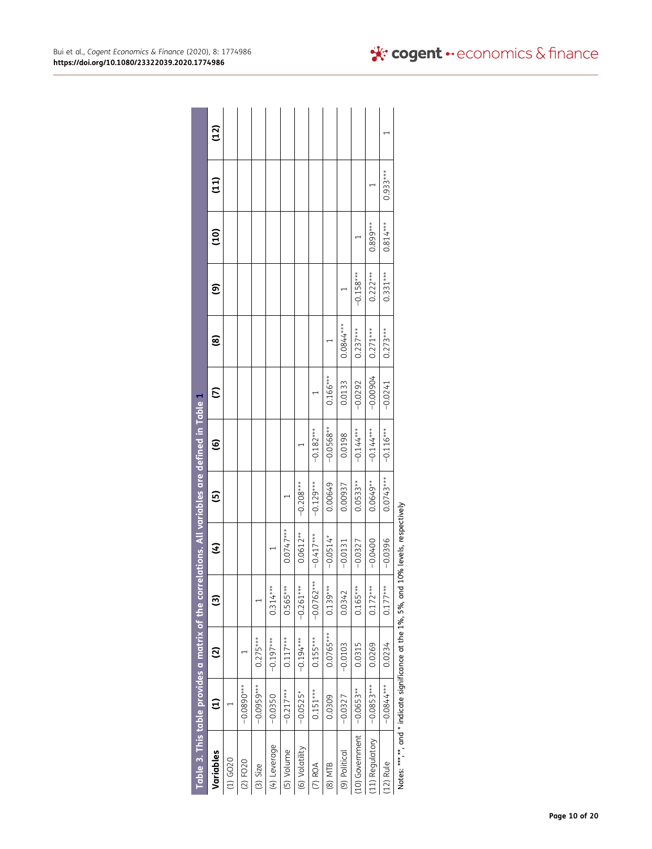<span id="page-10-0"></span>

| Table 3. This table provides a matrix of the correlations. All variables are defined in Table 1 |              |             |                        |                          |             |                        |             |             |             |               |                 |      |
|-------------------------------------------------------------------------------------------------|--------------|-------------|------------------------|--------------------------|-------------|------------------------|-------------|-------------|-------------|---------------|-----------------|------|
| Variables                                                                                       | ਦੁ           | ව           | $\widehat{\mathbf{c}}$ | E                        | ම           | $\widehat{\mathbf{e}}$ | $\tilde{c}$ | මූ          | ම           | $\frac{1}{2}$ | $\overline{11}$ | (12) |
| $(1)$ GO <sub>2</sub> 0                                                                         |              |             |                        |                          |             |                        |             |             |             |               |                 |      |
| $(2)$ FO20                                                                                      | $-0.0890**$  |             |                        |                          |             |                        |             |             |             |               |                 |      |
| $(3)$ Size                                                                                      | $-0.0959***$ | $0.275***$  |                        |                          |             |                        |             |             |             |               |                 |      |
| (4) Leverage                                                                                    | $-0.0350$    | $-0.197***$ | $0.314***$             |                          |             |                        |             |             |             |               |                 |      |
| (5) Volume                                                                                      | $-0.217***$  | $0.117***$  | $0.565***$             | $0.0747***$              |             |                        |             |             |             |               |                 |      |
| (6) Volatility                                                                                  | $-0.0525*$   | $-0.194***$ | $-0.261***$            | $0.0612**$               | $-0.208***$ |                        |             |             |             |               |                 |      |
| $(7)$ ROA                                                                                       | $0.151***$   | $0.155***$  | $-0.0762***$           | $-0.417***$              | $-0.129***$ | $-0.182***$            |             |             |             |               |                 |      |
| (8) MTB                                                                                         | 0.0309       | $0.0765***$ | $0.139***$             | $-0.0514*$               | 0.00649     | $-0.0568**$            | $0.166***$  |             |             |               |                 |      |
| (9) Political                                                                                   | $-0.0327$    | $-0.0103$   | 0.0342                 | $-0.0131$                | 0.00937     | 0.0198                 | 0.0133      | $0.0844***$ |             |               |                 |      |
| (10) Government                                                                                 | $-0.0653**$  | 0.0315      | $0.165***$             | $-0.0327$                | $0.0533**$  | $-0.144***$            | $-0.0292$   | $0.237***$  | $-0.158***$ |               |                 |      |
| (11) Regulatory                                                                                 | $-0.0853***$ | 0.0269      | $0.172***$             | $-0.0400$                | $0.0649**$  | $-0.144***$            | $-0.00904$  | $0.271***$  | $0.222***$  | $0.899***$    |                 |      |
| $(12)$ Rule                                                                                     | $-0.0844***$ | 0.0234      | $0.177***$             | $-0.0396$                | $0.0743***$ | $-0.116***$            | $-0.0241$   | $0.273***$  | $0.331***$  | $0.814***$    | $0.933***$      |      |
| Notes: ***,**, and * indicate significance at the 1%, 5%, and                                   |              |             |                        | 10% levels, respectively |             |                        |             |             |             |               |                 |      |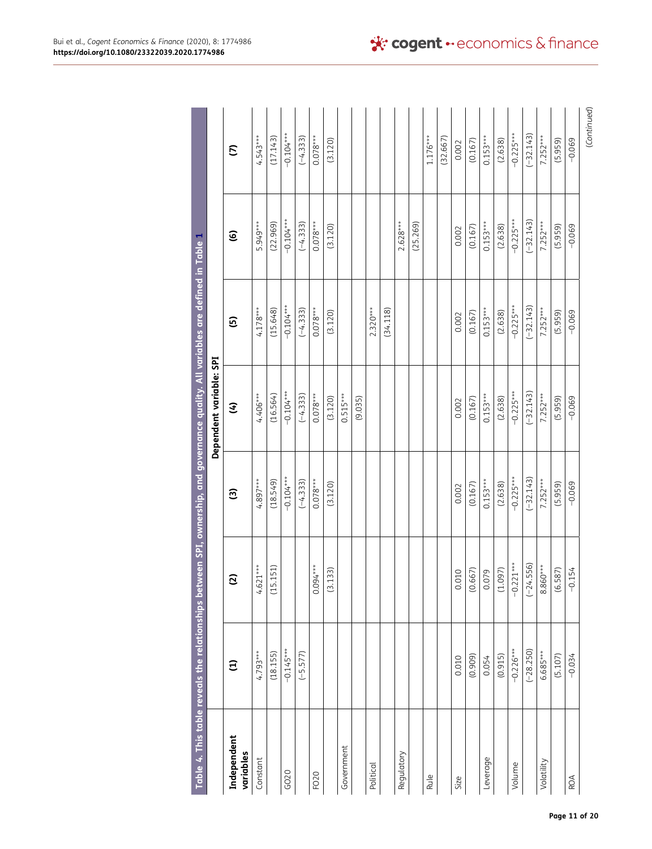<span id="page-11-0"></span>

|                          |               | Table 4. This table reveals the relationships between SPI, ownership, and governance quality. All variables are defined in Table 1 |             |                         |             |                        |                    |
|--------------------------|---------------|------------------------------------------------------------------------------------------------------------------------------------|-------------|-------------------------|-------------|------------------------|--------------------|
|                          |               |                                                                                                                                    |             | Dependent variable: SPI |             |                        |                    |
| Independent<br>variables | $\widehat{E}$ | ಲ                                                                                                                                  | ම           | E                       | ල           | $\widehat{\mathbf{e}}$ | $\widehat{\omega}$ |
| Constant                 | $4.793***$    | $4.621***$                                                                                                                         | $4.897***$  | $4.406***$              | $4.178***$  | 5.949***               | $4.543***$         |
|                          | (18.155)      | 151)<br>(15.                                                                                                                       | (18.549)    | (16.564)                | (15.648)    | (22.969)               | (17.143)           |
| GO20                     | $-0.145***$   |                                                                                                                                    | $-0.104***$ | $-0.104***$             | $-0.104***$ | $-0.104***$            | $-0.104***$        |
|                          | $(-5.577)$    |                                                                                                                                    | $(-4.333)$  | $(-4.333)$              | $(-4.333)$  | $(-4.333)$             | $(-4.333)$         |
| FO <sub>2</sub> 0        |               | $0.094***$                                                                                                                         | $0.078***$  | $0.078***$              | $0.078***$  | $0.078***$             | $0.078***$         |
|                          |               | (53)<br>$\overline{3.1}$                                                                                                           | (3.120)     | (3.120)                 | (3.120)     | (3.120)                | (3.120)            |
| Government               |               |                                                                                                                                    |             | $0.515***$              |             |                        |                    |
|                          |               |                                                                                                                                    |             | (9.035)                 |             |                        |                    |
| Political                |               |                                                                                                                                    |             |                         | $2.320***$  |                        |                    |
|                          |               |                                                                                                                                    |             |                         | (34.118)    |                        |                    |
| Regulatory               |               |                                                                                                                                    |             |                         |             | $2.628***$             |                    |
|                          |               |                                                                                                                                    |             |                         |             | (25.269)               |                    |
| Rule                     |               |                                                                                                                                    |             |                         |             |                        | $1.176***$         |
|                          |               |                                                                                                                                    |             |                         |             |                        | (32.667)           |
| Size                     | 0.010         | 0.010                                                                                                                              | 0.002       | 0.002                   | 0.002       | 0.002                  | 0.002              |
|                          | (0.909)       | (0.667)                                                                                                                            | (0.167)     | (0.167)                 | (0.167)     | (0.167)                | (0.167)            |
| Leverage                 | 0.054         | 0.079                                                                                                                              | $0.153***$  | $0.153***$              | $0.153***$  | $0.153***$             | $0.153***$         |
|                          | (0.915)       | (1.097)                                                                                                                            | (2.638)     | (2.638)                 | (2.638)     | (2.638)                | (2.638)            |
| Volume                   | $-0.226***$   | $-0.221***$                                                                                                                        | $-0.225***$ | $-0.225***$             | $-0.225***$ | $-0.225***$            | $-0.225***$        |
|                          | $(-28.250)$   | $(-24.556)$                                                                                                                        | $(-32.143)$ | $(-32.143)$             | $(-32.143)$ | $(-32.143)$            | $(-32.143)$        |
| Volatility               | 6.685***      | $8.860***$                                                                                                                         | $7.252***$  | $7.252***$              | $7.252***$  | $7.252***$             | $7.252***$         |
|                          | (5.107)       | (6.587)                                                                                                                            | (5.959)     | (5.959)                 | (5.959)     | (5.959)                | (5.959)            |
| ROA                      | $-0.034$      | $-0.154$                                                                                                                           | $-0.069$    | $-0.069$                | $-0.069$    | $-0.069$               | $-0.069$           |
|                          |               |                                                                                                                                    |             |                         |             |                        | (Continued)        |

|                         | Table 4. This table reveals the relationships between SPI, ownership, and governance quality. All variables are defined in Table 1 |            |             |                         |             |             |             |
|-------------------------|------------------------------------------------------------------------------------------------------------------------------------|------------|-------------|-------------------------|-------------|-------------|-------------|
|                         |                                                                                                                                    |            |             | Dependent variable: SPI |             |             |             |
| ndependent<br>variables | Ξ                                                                                                                                  | ତ୍ର        | ම           | E                       | ගි          | ত্ৰ         | $\tilde{c}$ |
| Constant                | $4.793***$                                                                                                                         | $4.621***$ | $4.897***$  | 4.406***                | $4.178***$  | 5.949***    | $4.543***$  |
|                         | (18.155)                                                                                                                           | (15.151)   | (18.549)    | (16.564)                | (15.648)    | (22.969)    | (17.143)    |
| GO <sub>2</sub> 0       | $-0.145***$                                                                                                                        |            | $-0.104***$ | $-0.104***$             | $-0.104***$ | $-0.104***$ | $-0.104***$ |
|                         | $(-5.577)$                                                                                                                         |            | $(-4.333)$  | $(-4.333)$              | $(-4.333)$  | $(-4.333)$  | $(-4.333)$  |
| $-020$                  |                                                                                                                                    | $0.094***$ | $0.078***$  | $0.078***$              | $0.078***$  | $0.078***$  | $0.078***$  |
|                         |                                                                                                                                    | (3.133)    | (3.120)     | (3.120)                 | (3.120)     | (3.120)     | (3.120)     |
| Government              |                                                                                                                                    |            |             | $0.515***$              |             |             |             |
|                         |                                                                                                                                    |            |             | (9.035)                 |             |             |             |
| <b>Political</b>        |                                                                                                                                    |            |             |                         | $2.320***$  |             |             |
|                         |                                                                                                                                    |            |             |                         | (34.118)    |             |             |
| Regulatory              |                                                                                                                                    |            |             |                         |             | $2.628***$  |             |
|                         |                                                                                                                                    |            |             |                         |             | (25.269)    |             |
| Plus                    |                                                                                                                                    |            |             |                         |             |             | $1.176***$  |
|                         |                                                                                                                                    |            |             |                         |             |             | (32.667)    |
| size                    | 0.010                                                                                                                              | 0.010      | 0.002       | 0.002                   | 0.002       | 0.002       | 0.002       |
|                         | (0.909)                                                                                                                            | (0.667)    | (0.167)     | (0.167)                 | (0.167)     | (0.167)     | (0.167)     |
| everage                 | 0.054                                                                                                                              | 0.079      | $0.153***$  | $0.153***$              | $0.153***$  | $0.153***$  | $0.153***$  |
|                         | (0.915)                                                                                                                            | (1.097)    | (2.638)     | (2.638)                 | (2.638)     | (2.638)     | (2.638)     |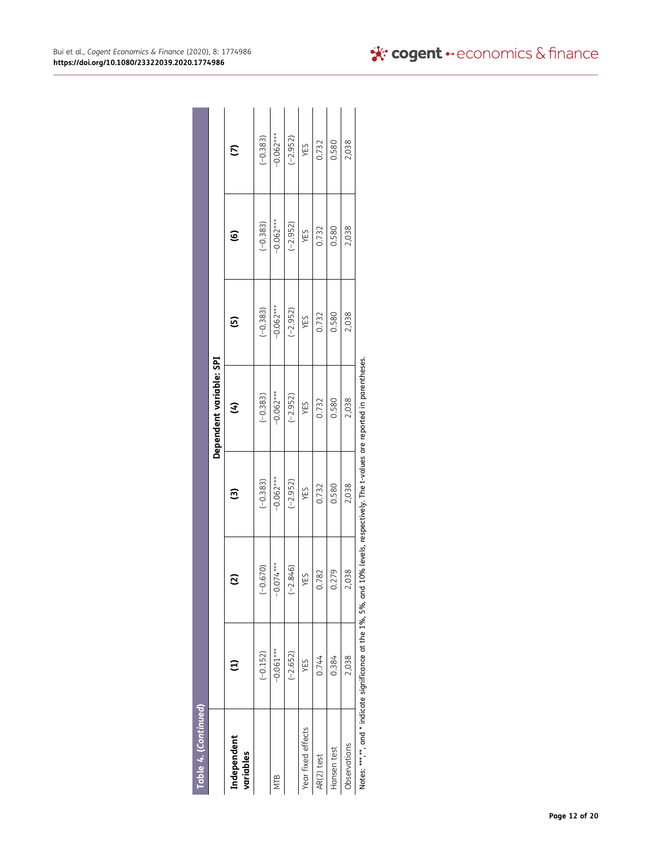| Table 4. (Continued)     |                                                                 |             |                        |                                                                    |               |                        |               |
|--------------------------|-----------------------------------------------------------------|-------------|------------------------|--------------------------------------------------------------------|---------------|------------------------|---------------|
|                          |                                                                 |             |                        | Dependent variable: SPI                                            |               |                        |               |
| Independent<br>variables |                                                                 | ⊵           | $\widehat{\mathbf{c}}$ | E                                                                  | $\widehat{5}$ | $\widehat{\mathbf{e}}$ | $\widehat{c}$ |
|                          | $(-0.152)$                                                      | $(-0.670)$  | $(-0.383)$             | $(-0.383)$                                                         | $(-0.383)$    | $(-0.383)$             | $(-0.383)$    |
| NTB                      | $-0.061***$                                                     | $-0.074***$ | $-0.062***$            | $-0.062***$                                                        | $-0.062***$   | $-0.062***$            | $-0.062***$   |
|                          | $(-2.652)$                                                      | $(-2.846)$  | $(-2.952)$             | $(-2.952)$                                                         | $(-2.952)$    | $(-2.952)$             | $(-2.952)$    |
| Year fixed effects       | YES                                                             | YES         | YES                    | YES                                                                | YES           | YES                    | YES           |
| AR(2) test               | 0.744                                                           | 0.782       | 0.732                  | 0.732                                                              | 0.732         | 0.732                  | 0.732         |
| Hansen test              | 0.384                                                           | 0.279       | 0.580                  | 0.580                                                              | 0.580         | 0.580                  | 0.580         |
| Observations             | 2,038                                                           | 2,038       | 2,038                  | 2,038                                                              | 2,038         | 2,038                  | 2,038         |
|                          | Notes: ***,**, and * indicate significance at the 1%, 5%, and 1 |             |                        | 0% levels, respectively. The t-values are reported in parentheses. |               |                        |               |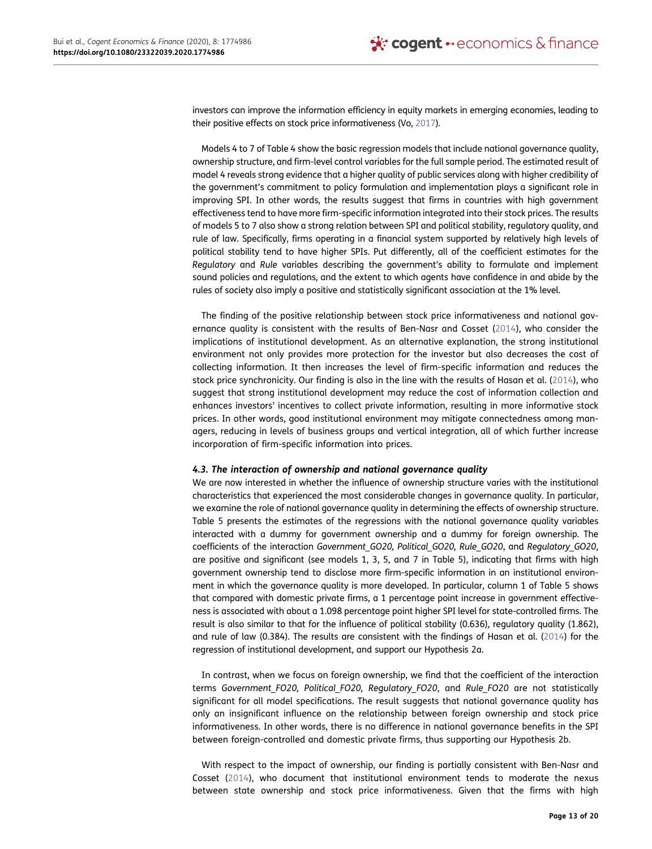investors can improve the information efficiency in equity markets in emerging economies, leading to their positive effects on stock price informativeness (Vo, [2017](#page-20-0)).

Models 4 to 7 of Table [4](#page-11-0) show the basic regression models that include national governance quality, ownership structure, and firm-level control variables for the full sample period. The estimated result of model 4 reveals strong evidence that a higher quality of public services along with higher credibility of the government's commitment to policy formulation and implementation plays a significant role in improving SPI. In other words, the results suggest that firms in countries with high government effectiveness tend to have more firm-specific information integrated into their stock prices. The results of models 5 to 7 also show a strong relation between SPI and political stability, regulatory quality, and rule of law. Specifically, firms operating in a financial system supported by relatively high levels of political stability tend to have higher SPIs. Put differently, all of the coefficient estimates for the *Regulatory* and *Rule* variables describing the government's ability to formulate and implement sound policies and regulations, and the extent to which agents have confidence in and abide by the rules of society also imply a positive and statistically significant association at the 1% level.

The finding of the positive relationship between stock price informativeness and national governance quality is consistent with the results of Ben-Nasr and Cosset [\(2014](#page-19-8)), who consider the implications of institutional development. As an alternative explanation, the strong institutional environment not only provides more protection for the investor but also decreases the cost of collecting information. It then increases the level of firm-specific information and reduces the stock price synchronicity. Our finding is also in the line with the results of Hasan et al. [\(2014\)](#page-19-6), who suggest that strong institutional development may reduce the cost of information collection and enhances investors' incentives to collect private information, resulting in more informative stock prices. In other words, good institutional environment may mitigate connectedness among managers, reducing in levels of business groups and vertical integration, all of which further increase incorporation of firm-specific information into prices.

## *4.3. The interaction of ownership and national governance quality*

We are now interested in whether the influence of ownership structure varies with the institutional characteristics that experienced the most considerable changes in governance quality. In particular, we examine the role of national governance quality in determining the effects of ownership structure. Table [5](#page-14-0) presents the estimates of the regressions with the national governance quality variables interacted with a dummy for government ownership and a dummy for foreign ownership. The coefficients of the interaction *Government\_GO20, Political\_GO20, Rule\_GO20*, and *Regulatory\_GO20*, are positive and significant (see models 1, 3, 5, and 7 in Table [5](#page-14-0)), indicating that firms with high government ownership tend to disclose more firm-specific information in an institutional environment in which the governance quality is more developed. In particular, column 1 of Table [5](#page-14-0) shows that compared with domestic private firms, a 1 percentage point increase in government effectiveness is associated with about a 1.098 percentage point higher SPI level for state-controlled firms. The result is also similar to that for the influence of political stability (0.636), regulatory quality (1.862), and rule of law (0.384). The results are consistent with the findings of Hasan et al. [\(2014](#page-19-6)) for the regression of institutional development, and support our Hypothesis 2a.

In contrast, when we focus on foreign ownership, we find that the coefficient of the interaction terms *Government\_FO20, Political\_FO20, Regulatory\_FO20*, and *Rule\_FO20* are not statistically significant for all model specifications. The result suggests that national governance quality has only an insignificant influence on the relationship between foreign ownership and stock price informativeness. In other words, there is no difference in national governance benefits in the SPI between foreign-controlled and domestic private firms, thus supporting our Hypothesis 2b.

With respect to the impact of ownership, our finding is partially consistent with Ben-Nasr and Cosset [\(2014\)](#page-19-8), who document that institutional environment tends to moderate the nexus between state ownership and stock price informativeness. Given that the firms with high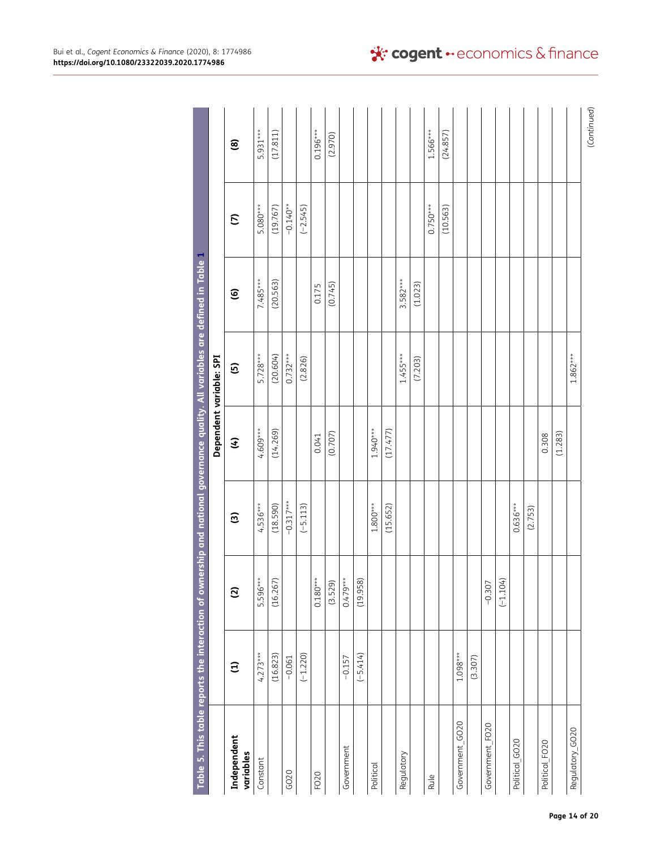<span id="page-14-0"></span>

| Table 5. This table reports the interaction of ownership and national governance quality. All variables are defined in Table 1 |               |                |                        |            |                         |                        |             |                        |
|--------------------------------------------------------------------------------------------------------------------------------|---------------|----------------|------------------------|------------|-------------------------|------------------------|-------------|------------------------|
|                                                                                                                                |               |                |                        |            | Dependent variable: SPI |                        |             |                        |
| Independent<br>variables                                                                                                       | $\widehat{E}$ | $\overline{c}$ | $\widehat{\mathbf{c}}$ | E          | <u>ය</u>                | $\widehat{\mathbf{e}}$ | $\tilde{c}$ | $\mathbf{\widehat{g}}$ |
| Constant                                                                                                                       | $4.273***$    | 5.596***       | $4.536***$             | 4.609***   | $5.728***$              | 7.485***               | 5.080***    | 5.931***               |
|                                                                                                                                | (16.823)      | (16.267)       | (18.590)               | (14.269)   | (20.604)                | (20.563)               | (19.767)    | (17.811)               |
| GO20                                                                                                                           | $-0.061$      |                | $-0.317***$            |            | $0.732***$              |                        | $-0.140**$  |                        |
|                                                                                                                                | $(-1.220)$    |                | $(-5.113)$             |            | (2.826)                 |                        | $(-2.545)$  |                        |
| FO20                                                                                                                           |               | $0.180***$     |                        | 0.041      |                         | 0.175                  |             | $0.196***$             |
|                                                                                                                                |               | (3.529)        |                        | (0.707)    |                         | (0.745)                |             | (2.970)                |
| Government                                                                                                                     | $-0.157$      | $0.479***$     |                        |            |                         |                        |             |                        |
|                                                                                                                                | $(-5.414)$    | (19.958)       |                        |            |                         |                        |             |                        |
| Political                                                                                                                      |               |                | $1.800***$             | $1.940***$ |                         |                        |             |                        |
|                                                                                                                                |               |                | (15.652)               | (17.477)   |                         |                        |             |                        |
| Regulatory                                                                                                                     |               |                |                        |            | $1.455***$              | $3.582***$             |             |                        |
|                                                                                                                                |               |                |                        |            | (7.203)                 | (1.023)                |             |                        |
| Rule                                                                                                                           |               |                |                        |            |                         |                        | $0.750***$  | $1.566***$             |
|                                                                                                                                |               |                |                        |            |                         |                        | (10.563)    | (24.857)               |
| Government_GO20                                                                                                                | $1.098***$    |                |                        |            |                         |                        |             |                        |
|                                                                                                                                | (3.307)       |                |                        |            |                         |                        |             |                        |
| Government_FO20                                                                                                                |               | $-0.307$       |                        |            |                         |                        |             |                        |
|                                                                                                                                |               | $(-1.104)$     |                        |            |                         |                        |             |                        |
| Political GO20                                                                                                                 |               |                | $0.636***$             |            |                         |                        |             |                        |
|                                                                                                                                |               |                | (2.753)                |            |                         |                        |             |                        |
| Political_FO20                                                                                                                 |               |                |                        | 0.308      |                         |                        |             |                        |
|                                                                                                                                |               |                |                        | (1.283)    |                         |                        |             |                        |
| Regulatory_GO20                                                                                                                |               |                |                        |            | $1.862***$              |                        |             |                        |
|                                                                                                                                |               |                |                        |            |                         |                        |             | (Continued)            |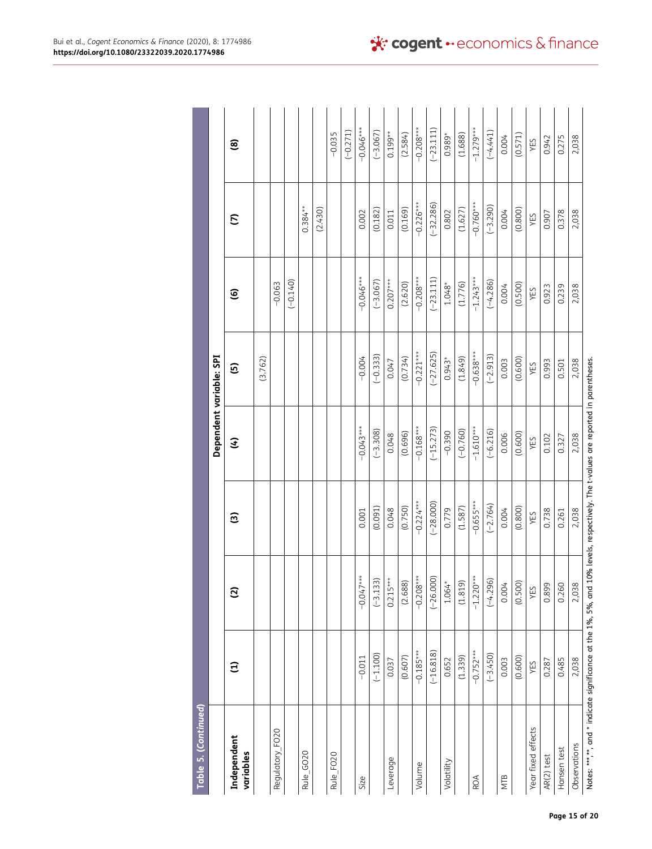| Table 5. (Continued)     |               |                    |             |             |                         |             |             |             |
|--------------------------|---------------|--------------------|-------------|-------------|-------------------------|-------------|-------------|-------------|
|                          |               |                    |             |             | Dependent variable: SPI |             |             |             |
| Independent<br>variables | $\widehat{z}$ | $\widehat{\omega}$ | ම           | E           | <u>ය</u>                | ၜႍ          | C           | ම           |
|                          |               |                    |             |             | (3.762)                 |             |             |             |
| Regulatory_FO20          |               |                    |             |             |                         | $-0.063$    |             |             |
|                          |               |                    |             |             |                         | $(-0.140)$  |             |             |
| Rule_GO20                |               |                    |             |             |                         |             | $0.384***$  |             |
|                          |               |                    |             |             |                         |             | (2.430)     |             |
| Rule FO <sub>20</sub>    |               |                    |             |             |                         |             |             | $-0.035$    |
|                          |               |                    |             |             |                         |             |             | $(-0.271)$  |
| Size                     | $-0.011$      | $-0.047***$        | 0.001       | $-0.043***$ | $-0.004$                | $-0.046***$ | 0.002       | $-0.046***$ |
|                          | $(-1.100)$    | $(-3.133)$         | (0.091)     | $(-3.308)$  | $(-0.333)$              | $(-3.067)$  | (0.182)     | $(-3.067)$  |
| Leverage                 | 0.037         | $0.215***$         | 0.048       | 0.048       | 0.047                   | $0.207***$  | 0.011       | $0.199**$   |
|                          | (0.607)       | (2.688)            | (0.750)     | (0.696)     | (0.734)                 | (2.620)     | (0.169)     | (2.584)     |
| Volume                   | $-0.185***$   | $-0.208***$        | $-0.224***$ | $-0.168***$ | $-0.221***$             | $-0.208***$ | $-0.226***$ | $-0.208***$ |
|                          | $(-16.818)$   | $(-26.000)$        | $(-28.000)$ | $(-15.273)$ | $(-27.625)$             | $(-23.111)$ | $(-32.286)$ | $(-23.111)$ |
| Volatility               | 0.652         | $1.064*$           | 0.779       | $-0.390$    | $0.943*$                | $1.048*$    | 0.802       | 0.989*      |
|                          | (1.339)       | (1.819)            | (1.587)     | $(-0.760)$  | (1.849)                 | (1.776)     | (1.627)     | (1.688)     |
| ROA                      | $-0.752***$   | $-1.220***$        | $-0.655***$ | $-1.610***$ | $-0.638***$             | $-1.243***$ | $-0.760***$ | $-1.279***$ |
|                          | $(-3.450)$    | $(-4.296)$         | $(-2.764)$  | $(-6.216)$  | $(-2.913)$              | $(-4.286)$  | $(-3.290)$  | $(-4.441)$  |
| NTB                      | 0.003         | 0.004              | 0.004       | 0.006       | 0.003                   | 0.004       | 0.004       | 0.004       |
|                          | (0.600)       | (0.500)            | (0.800)     | (0.600)     | (0.600)                 | (0.500)     | (0.800)     | (0.571)     |
| Year fixed effects       | YES           | YES                | YES         | YES         | YES                     | YES         | YES         | YES         |
| AR(2) test               | 0.287         | 0.899              | 0.738       | 0.102       | 0.993                   | 0.923       | 0.907       | 0.942       |
| Hansen test              | 0.485         | 0.260              | 0.261       | 0.327       | 0.501                   | 0.239       | 0.378       | 0.275       |
| Observations             | 2,038         | 2,038              | 2,038       | 2,038       | 2,038                   | 2,038       | 2,038       | 2,038       |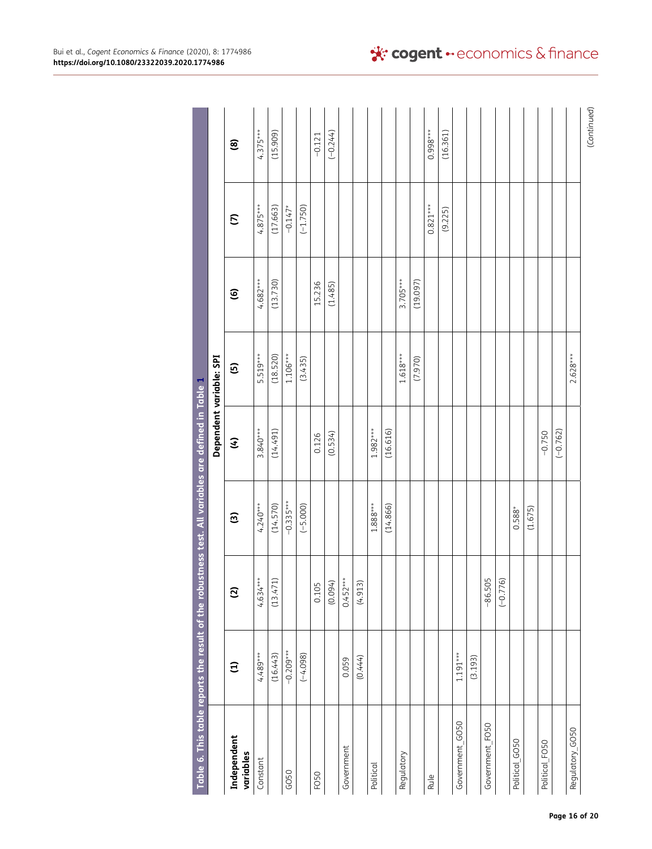<span id="page-16-0"></span>

| Table 6. This table reports the result of the robustness test. All variables are defined in Table 1 |               |                          |             |            |                         |                        |             |                        |
|-----------------------------------------------------------------------------------------------------|---------------|--------------------------|-------------|------------|-------------------------|------------------------|-------------|------------------------|
|                                                                                                     |               |                          |             |            | Dependent variable: SPI |                        |             |                        |
| Independent<br>variables                                                                            | $\widehat{E}$ | $\overline{c}$           | ම           | E          | $\mathbf{G}$            | $\widehat{\mathbf{e}}$ | $\tilde{c}$ | $\mathbf{\widehat{e}}$ |
| Constant                                                                                            | 4.489***      | $4.634***$               | $4.240***$  | 3.840***   | 5.519***                | $4.682***$             | $4.875***$  | $4.375***$             |
|                                                                                                     | (16.443)      | $\widehat{H}$<br>(13.47) | (14.570)    | (14.491)   | (18.520)                | (13.730)               | (17.663)    | (15.909)               |
| GO50                                                                                                | $-0.209***$   |                          | $-0.335***$ |            | $1.106***$              |                        | $-0.147*$   |                        |
|                                                                                                     | $(-4.098)$    |                          | $(-5.000)$  |            | (3.435)                 |                        | $(-1.750)$  |                        |
| FO50                                                                                                |               |                          |             | 0.126      |                         | 15.236                 |             | $-0.121$               |
|                                                                                                     |               | $\frac{0.105}{(0.094)}$  |             | (0.534)    |                         | (1.485)                |             | $(-0.244)$             |
| Government                                                                                          | 0.059         | $0.452***$               |             |            |                         |                        |             |                        |
|                                                                                                     | (0.444)       | $\widehat{m}$<br>(4.91)  |             |            |                         |                        |             |                        |
| Political                                                                                           |               |                          | $1.888***$  | $1.982***$ |                         |                        |             |                        |
|                                                                                                     |               |                          | (14.866)    | (16.616)   |                         |                        |             |                        |
| Regulatory                                                                                          |               |                          |             |            | $1.618***$              | $3.705***$             |             |                        |
|                                                                                                     |               |                          |             |            | (7.970)                 | (19.097)               |             |                        |
| Rule                                                                                                |               |                          |             |            |                         |                        | $0.821***$  | $0.998***$             |
|                                                                                                     |               |                          |             |            |                         |                        | (9.225)     | (16.361)               |
| Government_GO50                                                                                     | $1.191***$    |                          |             |            |                         |                        |             |                        |
|                                                                                                     | (3.193)       |                          |             |            |                         |                        |             |                        |
| Government_FO50                                                                                     |               | $-86.505$                |             |            |                         |                        |             |                        |
|                                                                                                     |               | $(-0.776)$               |             |            |                         |                        |             |                        |
| Political_GO50                                                                                      |               |                          | $0.588*$    |            |                         |                        |             |                        |
|                                                                                                     |               |                          | (1.675)     |            |                         |                        |             |                        |
| Political_FO50                                                                                      |               |                          |             | $-0.750$   |                         |                        |             |                        |
|                                                                                                     |               |                          |             | $(-0.762)$ |                         |                        |             |                        |
| Regulatory_GO50                                                                                     |               |                          |             |            | $2.628***$              |                        |             |                        |
|                                                                                                     |               |                          |             |            |                         |                        |             | (Continued)            |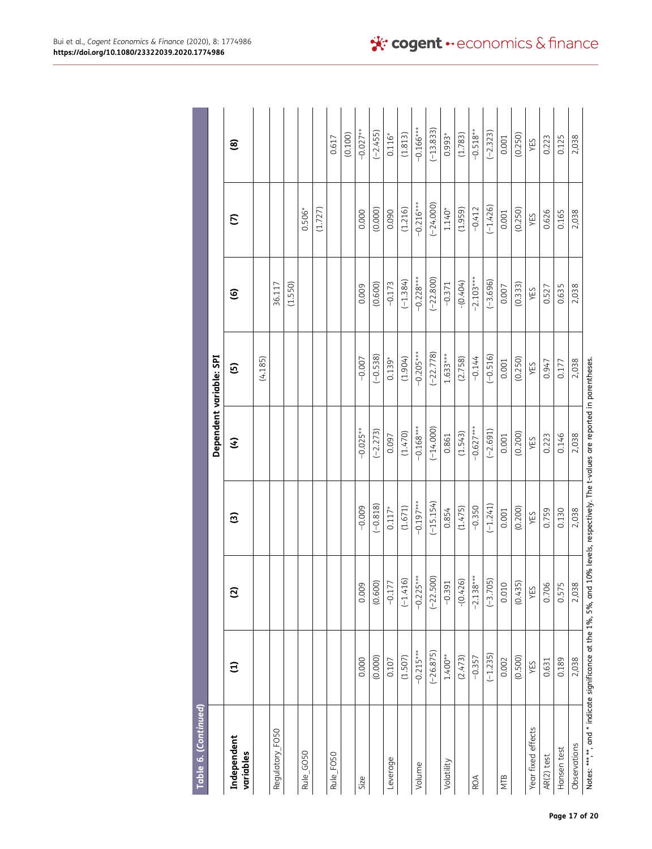| Table 6. (Continued)     |               |                |             |                         |                |                        |             |             |
|--------------------------|---------------|----------------|-------------|-------------------------|----------------|------------------------|-------------|-------------|
|                          |               |                |             | Dependent variable: SPI |                |                        |             |             |
| Independent<br>variables | $\widehat{E}$ | $\overline{c}$ | ම           | E                       | $\overline{5}$ | $\widehat{\mathbf{e}}$ | S           | ම           |
|                          |               |                |             |                         | (4.185)        |                        |             |             |
| Regulatory_FO50          |               |                |             |                         |                | 36.117                 |             |             |
|                          |               |                |             |                         |                | (1.550)                |             |             |
| Rule_GO50                |               |                |             |                         |                |                        | $0.506*$    |             |
|                          |               |                |             |                         |                |                        | (1.727)     |             |
| Rule_FO50                |               |                |             |                         |                |                        |             | 0.617       |
|                          |               |                |             |                         |                |                        |             | (0.100)     |
| Size                     | 0.000         | 0.009          | $-0.009$    | $-0.025**$              | $-0.007$       | 0.009                  | 0.000       | $-0.027**$  |
|                          | (0.000)       | (0.600)        | $(-0.818)$  | $(-2.273)$              | $(-0.538)$     | (0.600)                | (0.000)     | $(-2.455)$  |
| Leverage                 | 0.107         | $-0.177$       | $0.117*$    | 0.097                   | $0.139*$       | $-0.173$               | 0.090       | $0.116*$    |
|                          | (1.507)       | $(-1.416)$     | (1.671)     | (1.470)                 | (1.904)        | $(-1.384)$             | (1.216)     | (1.813)     |
| Volume                   | $-0.215***$   | $-0.225***$    | $-0.197***$ | $-0.168***$             | $-0.205***$    | $-0.228***$            | $-0.216***$ | $-0.166***$ |
|                          | $(-26.875)$   | $(-22.500)$    | $(-15.154)$ | $(-14.000)$             | $(-22.778)$    | $(-22.800)$            | $(-24.000)$ | $(-13.833)$ |
| Volatility               | $1.400**$     | $-0.391$       | 0.854       | 0.861                   | $1.633***$     | $-0.371$               | $1.140*$    | $0.993*$    |
|                          | (2.473)       | $-(0.426)$     | (1.475)     | (1.543)                 | (2.758)        | $- (0.404)$            | (1.959)     | (1.783)     |
| ROA                      | $-0.357$      | $-2.138***$    | $-0.350$    | $-0.627***$             | $-0.144$       | $-2.103***$            | $-0.412$    | $-0.518**$  |
|                          | $(-1.235)$    | $(-3.705)$     | $(-1.241)$  | $(-2.691)$              | $(-0.516)$     | $(-3.696)$             | $(-1.426)$  | $(-2.323)$  |
| NTB                      | 0.002         | 0.010          | 0.001       | 0.001                   | 0.001          | 0.007                  | 0.001       | 0.001       |
|                          | (0.500)       | (0.435)        | (0.200)     | (0.200)                 | (0.250)        | (0.333)                | (0.250)     | (0.250)     |
| Year fixed effects       | YES           | YES            | YES         | YES                     | YES            | YES                    | YES         | YES         |
| AR(2) test               | 0.631         | 0.706          | 0.759       | 0.223                   | 0.947          | 0.527                  | 0.626       | 0.223       |
| Hansen test              | 0.189         | 0.575          | 0.130       | 0.146                   | 0.177          | 0.635                  | 0.165       | 0.125       |
| Observations             | 2,038         | 2,038          | 2,038       | 2,038                   | 2,038          | 2,038                  | 2,038       | 2,038       |
|                          |               |                |             |                         |                |                        |             |             |

Notes: \*\*\*,\*\*, and \* indicate significance at the 1%, 5%, and 10% levels, respectively. The t-values are reported in parentheses.<br>Notes: \*\*\*,\*\*, and \* indicate significance at the 1%, 5%, and 10% levels, respectively. The Notes: \*\*\*,\*\*, and \* indicate significance at the 1%, 5%, and 10% levels, respectively. The t-values are reported in parentheses.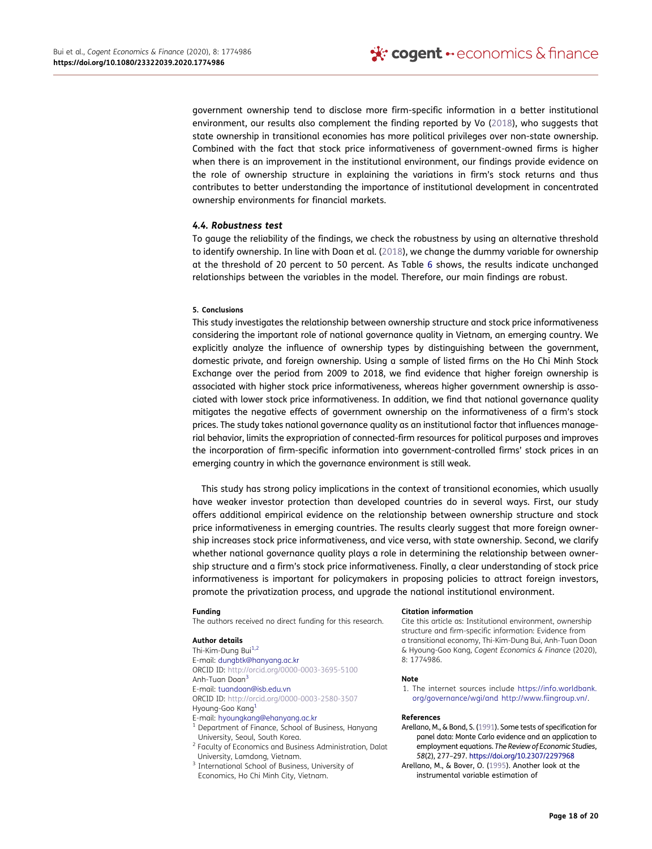government ownership tend to disclose more firm-specific information in a better institutional environment, our results also complement the finding reported by Vo ([2018\)](#page-20-2), who suggests that state ownership in transitional economies has more political privileges over non-state ownership. Combined with the fact that stock price informativeness of government-owned firms is higher when there is an improvement in the institutional environment, our findings provide evidence on the role of ownership structure in explaining the variations in firm's stock returns and thus contributes to better understanding the importance of institutional development in concentrated ownership environments for financial markets.

## *4.4. Robustness test*

<span id="page-18-7"></span>To gauge the reliability of the findings, we check the robustness by using an alternative threshold to identify ownership. In line with Doan et al. ([2018](#page-19-30)), we change the dummy variable for ownership at the threshold of 20 percent to 50 percent. As Table [6](#page-16-0) shows, the results indicate unchanged relationships between the variables in the model. Therefore, our main findings are robust.

#### <span id="page-18-3"></span>**5. Conclusions**

This study investigates the relationship between ownership structure and stock price informativeness considering the important role of national governance quality in Vietnam, an emerging country. We explicitly analyze the influence of ownership types by distinguishing between the government, domestic private, and foreign ownership. Using a sample of listed firms on the Ho Chi Minh Stock Exchange over the period from 2009 to 2018, we find evidence that higher foreign ownership is associated with higher stock price informativeness, whereas higher government ownership is associated with lower stock price informativeness. In addition, we find that national governance quality mitigates the negative effects of government ownership on the informativeness of a firm's stock prices. The study takes national governance quality as an institutional factor that influences managerial behavior, limits the expropriation of connected-firm resources for political purposes and improves the incorporation of firm-specific information into government-controlled firms' stock prices in an emerging country in which the governance environment is still weak.

This study has strong policy implications in the context of transitional economies, which usually have weaker investor protection than developed countries do in several ways. First, our study offers additional empirical evidence on the relationship between ownership structure and stock price informativeness in emerging countries. The results clearly suggest that more foreign ownership increases stock price informativeness, and vice versa, with state ownership. Second, we clarify whether national governance quality plays a role in determining the relationship between ownership structure and a firm's stock price informativeness. Finally, a clear understanding of stock price informativeness is important for policymakers in proposing policies to attract foreign investors, promote the privatization process, and upgrade the national institutional environment.

#### **Funding**

The authors received no direct funding for this research.

#### **Author details**

<span id="page-18-2"></span><span id="page-18-1"></span>Thi-Kim-Dung Bui<sup>1,2</sup> E-mail: dungbtk@hanyang.ac.kr ORCID ID: http://orcid.org/0000-0003-3695-5100 Anh-Tuan Doan[3](#page-1-0)  E-mail: tuandoan@isb.edu.vn ORCID ID: http://orcid.org/0000-0003-2580-3507

#### <span id="page-18-0"></span>Hyoung-Goo Kang[1](#page-1-0)

- 
- E-mail: hyoungkang@ehanyang.ac.kr 1 Department of Finance, School of Business, Hanyang
- University, Seoul, South Korea. 2 Faculty of Economics and Business Administration, Dalat University, Lamdong, Vietnam. 3 International School of Business, University of
- Economics, Ho Chi Minh City, Vietnam.

#### **Citation information**

Cite this article as: Institutional environment, ownership structure and firm-specific information: Evidence from a transitional economy, Thi-Kim-Dung Bui, Anh-Tuan Doan & Hyoung-Goo Kang*, Cogent Economics & Finance* (2020), 8: 1774986.

#### **Note**

<span id="page-18-4"></span>1. The internet sources include [https://info.worldbank.](https://info.worldbank.org/governance/wgi/and) [org/governance/wgi/and](https://info.worldbank.org/governance/wgi/and) <http://www.fiingroup.vn/>.

#### **References**

- <span id="page-18-5"></span>Arellano, M., & Bond, S. [\(1991\)](#page-8-2). Some tests of specification for panel data: Monte Carlo evidence and an application to employment equations. *The Review of Economic Studies*, *58*(2), 277–297. <https://doi.org/10.2307/2297968>
- <span id="page-18-6"></span>Arellano, M., & Bover, O. [\(1995](#page-8-3)). Another look at the instrumental variable estimation of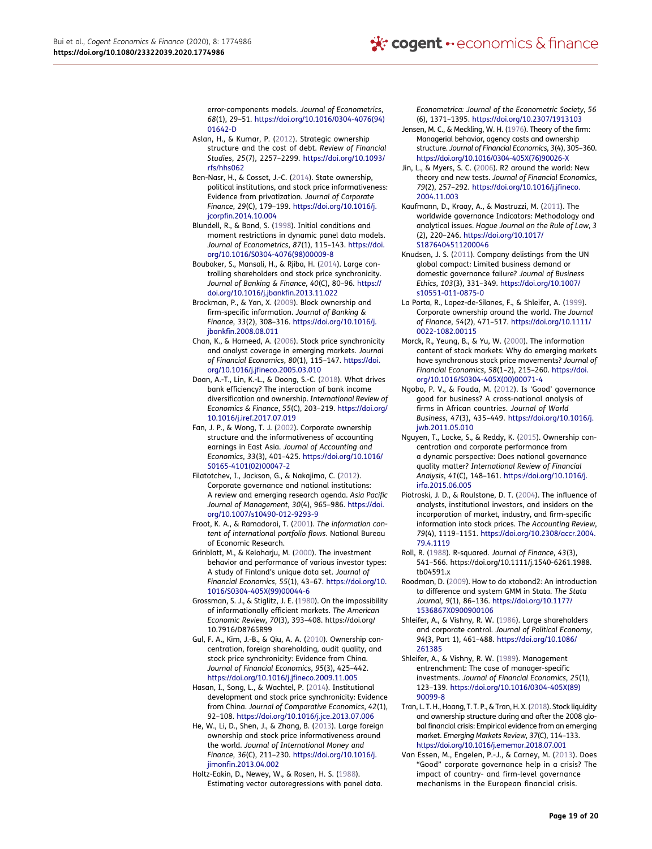error-components models. *Journal of Econometrics*, *68*(1), 29–51. [https://doi.org/10.1016/0304-4076\(94\)](https://doi.org/10.1016/0304-4076(94)01642-D)  [01642-D](https://doi.org/10.1016/0304-4076(94)01642-D)

- <span id="page-19-20"></span>Aslan, H., & Kumar, P. ([2012\)](#page-5-0). Strategic ownership structure and the cost of debt. *Review of Financial Studies*, *25*(7), 2257–2299. [https://doi.org/10.1093/](https://doi.org/10.1093/rfs/hhs062)  [rfs/hhs062](https://doi.org/10.1093/rfs/hhs062)
- <span id="page-19-8"></span>Ben-Nasr, H., & Cosset, J.-C. ([2014\)](#page-3-1). State ownership, political institutions, and stock price informativeness: Evidence from privatization. *Journal of Corporate Finance*, *29*(C), 179–199. [https://doi.org/10.1016/j.](https://doi.org/10.1016/j.jcorpfin.2014.10.004) [jcorpfin.2014.10.004](https://doi.org/10.1016/j.jcorpfin.2014.10.004)
- <span id="page-19-28"></span>Blundell, R., & Bond, S. [\(1998](#page-8-3)). Initial conditions and moment restrictions in dynamic panel data models. *Journal of Econometrics*, *87*(1), 115–143. [https://doi.](https://doi.org/10.1016/S0304-4076(98)00009-8)  [org/10.1016/S0304-4076\(98\)00009-8](https://doi.org/10.1016/S0304-4076(98)00009-8)
- <span id="page-19-4"></span>Boubaker, S., Mansali, H., & Rjiba, H. [\(2014\)](#page-2-0). Large controlling shareholders and stock price synchronicity. *Journal of Banking & Finance*, *40*(C), 80–96. [https://](https://doi.org/10.1016/j.jbankfin.2013.11.022)  [doi.org/10.1016/j.jbankfin.2013.11.022](https://doi.org/10.1016/j.jbankfin.2013.11.022)
- <span id="page-19-5"></span>Brockman, P., & Yan, X. ([2009\)](#page-2-0). Block ownership and firm-specific information. *Journal of Banking & Finance*, *33*(2), 308–316. [https://doi.org/10.1016/j.](https://doi.org/10.1016/j.jbankfin.2008.08.011) [jbankfin.2008.08.011](https://doi.org/10.1016/j.jbankfin.2008.08.011)
- <span id="page-19-1"></span>Chan, K., & Hameed, A. ([2006\)](#page-2-1). Stock price synchronicity and analyst coverage in emerging markets. *Journal of Financial Economics*, *80*(1), 115–147. [https://doi.](https://doi.org/10.1016/j.jfineco.2005.03.010)  [org/10.1016/j.jfineco.2005.03.010](https://doi.org/10.1016/j.jfineco.2005.03.010)
- <span id="page-19-30"></span>Doan, A.-T., Lin, K.-L., & Doong, S.-C. ([2018\)](#page-18-7). What drives bank efficiency? The interaction of bank income diversification and ownership. *International Review of Economics & Finance*, *55*(C), 203–219. [https://doi.org/](https://doi.org/10.1016/j.iref.2017.07.019) [10.1016/j.iref.2017.07.019](https://doi.org/10.1016/j.iref.2017.07.019)
- <span id="page-19-17"></span>Fan, J. P., & Wong, T. J. ([2002\)](#page-5-1). Corporate ownership structure and the informativeness of accounting earnings in East Asia. *Journal of Accounting and Economics*, *33*(3), 401–425. [https://doi.org/10.1016/](https://doi.org/10.1016/S0165-4101(02)00047-2)  [S0165-4101\(02\)00047-2](https://doi.org/10.1016/S0165-4101(02)00047-2)
- <span id="page-19-14"></span>Filatotchev, I., Jackson, G., & Nakajima, C. ([2012\)](#page-4-0). Corporate governance and national institutions: A review and emerging research agenda. *Asia Pacific Journal of Management*, *30*(4), 965–986. [https://doi.](https://doi.org/10.1007/s10490-012-9293-9) [org/10.1007/s10490-012-9293-9](https://doi.org/10.1007/s10490-012-9293-9)
- <span id="page-19-15"></span>Froot, K. A., & Ramadorai, T. [\(2001](#page-5-2)). *The information content of international portfolio flows*. National Bureau of Economic Research.
- <span id="page-19-16"></span>Grinblatt, M., & Keloharju, M. ([2000\)](#page-5-3). The investment behavior and performance of various investor types: A study of Finland's unique data set. *Journal of Financial Economics*, *55*(1), 43–67. [https://doi.org/10.](https://doi.org/10.1016/S0304-405X(99)00044-6)  [1016/S0304-405X\(99\)00044-6](https://doi.org/10.1016/S0304-405X(99)00044-6)
- <span id="page-19-10"></span>Grossman, S. J., & Stiglitz, J. E. [\(1980](#page-4-1)). On the impossibility of informationally efficient markets. *The American Economic Review*, *70*(3), 393–408. https://doi.org/ 10.7916/D8765R99
- <span id="page-19-3"></span>Gul, F. A., Kim, J.-B., & Qiu, A. A. [\(2010](#page-2-0)). Ownership concentration, foreign shareholding, audit quality, and stock price synchronicity: Evidence from China. *Journal of Financial Economics*, *95*(3), 425–442. <https://doi.org/10.1016/j.jfineco.2009.11.005>
- <span id="page-19-6"></span>Hasan, I., Song, L., & Wachtel, P. ([2014\)](#page-2-2). Institutional development and stock price synchronicity: Evidence from China. *Journal of Comparative Economics*, *42*(1), 92–108. <https://doi.org/10.1016/j.jce.2013.07.006>
- <span id="page-19-0"></span>He, W., Li, D., Shen, J., & Zhang, B. [\(2013](#page-2-3)). Large foreign ownership and stock price informativeness around the world. *Journal of International Money and Finance*, *36*(C), 211–230. [https://doi.org/10.1016/j.](https://doi.org/10.1016/j.jimonfin.2013.04.002) iimonfin.2013.04.002

<span id="page-19-27"></span>Holtz-Eakin, D., Newey, W., & Rosen, H. S. ([1988\)](#page-8-2). Estimating vector autoregressions with panel data. *Econometrica: Journal of the Econometric Society*, *56*  (6), 1371–1395. <https://doi.org/10.2307/1913103>

- <span id="page-19-13"></span>Jensen, M. C., & Meckling, W. H. [\(1976\)](#page-4-2). Theory of the firm: Managerial behavior, agency costs and ownership structure. *Journal of Financial Economics*, *3*(4), 305–360. [https://doi.org/10.1016/0304-405X\(76\)90026-X](https://doi.org/10.1016/0304-405X(76)90026-X)
- <span id="page-19-18"></span>Jin, L., & Myers, S. C. [\(2006](#page-5-4)). R2 around the world: New theory and new tests. *Journal of Financial Economics*, *79*(2), 257–292. [https://doi.org/10.1016/j.jfineco.](https://doi.org/10.1016/j.jfineco.2004.11.003) [2004.11.003](https://doi.org/10.1016/j.jfineco.2004.11.003)
- <span id="page-19-24"></span>Kaufmann, D., Kraay, A., & Mastruzzi, M. ([2011\)](#page-7-0). The worldwide governance Indicators: Methodology and analytical issues. *Hague Journal on the Rule of Law*, *3*  (2), 220–246. [https://doi.org/10.1017/](https://doi.org/10.1017/S1876404511200046) [S1876404511200046](https://doi.org/10.1017/S1876404511200046)
- <span id="page-19-25"></span>Knudsen, J. S. ([2011\)](#page-7-0). Company delistings from the UN global compact: Limited business demand or domestic governance failure? *Journal of Business Ethics*, *103*(3), 331–349. [https://doi.org/10.1007/](https://doi.org/10.1007/s10551-011-0875-0)  [s10551-011-0875-0](https://doi.org/10.1007/s10551-011-0875-0)
- <span id="page-19-23"></span>La Porta, R., Lopez-de-Silanes, F., & Shleifer, A. [\(1999](#page-7-1)). Corporate ownership around the world. *The Journal of Finance*, *54*(2), 471–517. [https://doi.org/10.1111/](https://doi.org/10.1111/0022-1082.00115)  [0022-1082.00115](https://doi.org/10.1111/0022-1082.00115)
- <span id="page-19-2"></span>Morck, R., Yeung, B., & Yu, W. [\(2000](#page-2-1)). The information content of stock markets: Why do emerging markets have synchronous stock price movements? *Journal of Financial Economics*, *58*(1–2), 215–260. [https://doi.](https://doi.org/10.1016/S0304-405X(00)00071-4) [org/10.1016/S0304-405X\(00\)00071-4](https://doi.org/10.1016/S0304-405X(00)00071-4)
- <span id="page-19-21"></span>Ngobo, P. V., & Fouda, M. [\(2012](#page-5-5)). Is 'Good' governance good for business? A cross-national analysis of firms in African countries. *Journal of World Business*, *47*(3), 435–449. [https://doi.org/10.1016/j.](https://doi.org/10.1016/j.jwb.2011.05.010) [jwb.2011.05.010](https://doi.org/10.1016/j.jwb.2011.05.010)
- <span id="page-19-22"></span>Nguyen, T., Locke, S., & Reddy, K. ([2015\)](#page-5-6). Ownership concentration and corporate performance from a dynamic perspective: Does national governance quality matter? *International Review of Financial Analysis*, *41*(C), 148–161. [https://doi.org/10.1016/j.](https://doi.org/10.1016/j.irfa.2015.06.005) [irfa.2015.06.005](https://doi.org/10.1016/j.irfa.2015.06.005)
- <span id="page-19-11"></span>Piotroski, J. D., & Roulstone, D. T. [\(2004](#page-4-3)). The influence of analysts, institutional investors, and insiders on the incorporation of market, industry, and firm-specific information into stock prices. *The Accounting Review*, *79*(4), 1119–1151. [https://doi.org/10.2308/accr.2004.](https://doi.org/10.2308/accr.2004.79.4.1119)  [79.4.1119](https://doi.org/10.2308/accr.2004.79.4.1119)
- <span id="page-19-9"></span>Roll, R. [\(1988](#page-3-2)). R-squared. *Journal of Finance*, *43*(3), 541–566. https://doi.org/10.1111/j.1540-6261.1988. tb04591.x
- <span id="page-19-29"></span>Roodman, D. ([2009\)](#page-8-4). How to do xtabond2: An introduction to difference and system GMM in Stata. *The Stata Journal*, *9*(1), 86–136. [https://doi.org/10.1177/](https://doi.org/10.1177/1536867X0900900106) [1536867X0900900106](https://doi.org/10.1177/1536867X0900900106)
- <span id="page-19-12"></span>Shleifer, A., & Vishny, R. W. [\(1986](#page-4-4)). Large shareholders and corporate control. *Journal of Political Economy*, *94*(3, Part 1), 461–488. [https://doi.org/10.1086/](https://doi.org/10.1086/261385) [261385](https://doi.org/10.1086/261385)
- <span id="page-19-19"></span>Shleifer, A., & Vishny, R. W. [\(1989](#page-5-4)). Management entrenchment: The case of manager-specific investments. *Journal of Financial Economics*, *25*(1), 123–139. [https://doi.org/10.1016/0304-405X\(89\)](https://doi.org/10.1016/0304-405X(89)90099-8)  [90099-8](https://doi.org/10.1016/0304-405X(89)90099-8)
- <span id="page-19-7"></span>Tran, L. T. H., Hoang, T. T. P., & Tran, H. X. [\(2018](#page-2-4)). Stock liquidity and ownership structure during and after the 2008 global financial crisis: Empirical evidence from an emerging market. *Emerging Markets Review*, *37*(C), 114–133. <https://doi.org/10.1016/j.ememar.2018.07.001>
- <span id="page-19-26"></span>Van Essen, M., Engelen, P.-J., & Carney, M. ([2013\)](#page-7-2). Does "Good" corporate governance help in a crisis? The impact of country- and firm-level governance mechanisms in the European financial crisis.